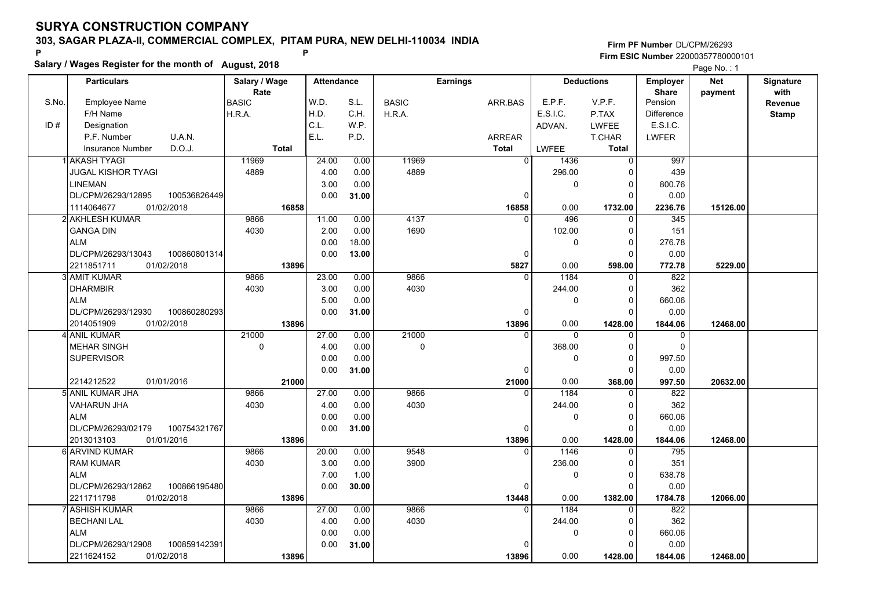**Salary / Wages Register for the month of August, 2018 <sup>P</sup> <sup>P</sup>**

#### **Firm PF Number**DL/CPM/26293**Firm ESIC Number** 22000357780000101

Page No.: 1

|       | <b>Particulars</b>                 | Salary / Wage<br>Rate | <b>Attendance</b> |       |              | <b>Earnings</b> |              | <b>Deductions</b> | <b>Employer</b><br><b>Share</b> | <b>Net</b> | Signature<br>with |
|-------|------------------------------------|-----------------------|-------------------|-------|--------------|-----------------|--------------|-------------------|---------------------------------|------------|-------------------|
| S.No. | Employee Name                      | <b>BASIC</b>          | W.D.              | S.L.  | <b>BASIC</b> | ARR.BAS         | E.P.F.       | V.P.F.            | Pension                         | payment    | Revenue           |
|       | F/H Name                           | H.R.A.                | H.D.              | C.H.  | H.R.A.       |                 | E.S.I.C.     | P.TAX             | <b>Difference</b>               |            | <b>Stamp</b>      |
| ID#   | Designation                        |                       | C.L.              | W.P.  |              |                 | ADVAN.       | <b>LWFEE</b>      | E.S.I.C.                        |            |                   |
|       | U.A.N.<br>P.F. Number              |                       | E.L.              | P.D.  |              | <b>ARREAR</b>   |              | T.CHAR            | <b>LWFER</b>                    |            |                   |
|       | D.O.J.<br><b>Insurance Number</b>  | <b>Total</b>          |                   |       |              | <b>Total</b>    | <b>LWFEE</b> | Total             |                                 |            |                   |
|       | Il AKASH TYAGI                     | 11969                 | 24.00             | 0.00  | 11969        | $\overline{0}$  | 1436         | 0                 | 997                             |            |                   |
|       | <b>JUGAL KISHOR TYAGI</b>          | 4889                  | 4.00              | 0.00  | 4889         |                 | 296.00       | 0                 | 439                             |            |                   |
|       | <b>LINEMAN</b>                     |                       | 3.00              | 0.00  |              |                 | 0            | 0                 | 800.76                          |            |                   |
|       | DL/CPM/26293/12895<br>100536826449 |                       | 0.00              | 31.00 |              | $\Omega$        |              | $\Omega$          | 0.00                            |            |                   |
|       | 1114064677<br>01/02/2018           | 16858                 |                   |       |              | 16858           | 0.00         | 1732.00           | 2236.76                         | 15126.00   |                   |
|       | 2 AKHLESH KUMAR                    | 9866                  | 11.00             | 0.00  | 4137         | $\Omega$        | 496          | 0                 | 345                             |            |                   |
|       | <b>GANGA DIN</b>                   | 4030                  | 2.00              | 0.00  | 1690         |                 | 102.00       | $\mathbf 0$       | 151                             |            |                   |
|       | <b>ALM</b>                         |                       | 0.00              | 18.00 |              |                 | 0            | $\mathbf 0$       | 276.78                          |            |                   |
|       | DL/CPM/26293/13043<br>100860801314 |                       | 0.00              | 13.00 |              | 0               |              | $\mathbf 0$       | 0.00                            |            |                   |
|       | 2211851711<br>01/02/2018           | 13896                 |                   |       |              | 5827            | 0.00         | 598.00            | 772.78                          | 5229.00    |                   |
|       | 3 AMIT KUMAR                       | 9866                  | 23.00             | 0.00  | 9866         | $\Omega$        | 1184         | $\mathbf 0$       | 822                             |            |                   |
|       | <b>DHARMBIR</b>                    | 4030                  | 3.00              | 0.00  | 4030         |                 | 244.00       | 0                 | 362                             |            |                   |
|       | <b>ALM</b>                         |                       | 5.00              | 0.00  |              |                 | 0            | $\mathbf 0$       | 660.06                          |            |                   |
|       | DL/CPM/26293/12930<br>100860280293 |                       | 0.00              | 31.00 |              | O               |              | $\Omega$          | 0.00                            |            |                   |
|       | 01/02/2018<br>2014051909           | 13896                 |                   |       |              | 13896           | 0.00         | 1428.00           | 1844.06                         | 12468.00   |                   |
|       | 4 ANIL KUMAR                       | 21000                 | 27.00             | 0.00  | 21000        | 0               | 0            | 0                 | 0                               |            |                   |
|       | <b>MEHAR SINGH</b>                 | 0                     | 4.00              | 0.00  | 0            |                 | 368.00       | 0                 | $\mathbf 0$                     |            |                   |
|       | <b>SUPERVISOR</b>                  |                       | 0.00              | 0.00  |              |                 | 0            | $\Omega$          | 997.50                          |            |                   |
|       |                                    |                       | 0.00              | 31.00 |              | $\Omega$        |              | $\Omega$          | 0.00                            |            |                   |
|       | 2214212522<br>01/01/2016           | 21000                 |                   |       |              | 21000           | 0.00         | 368.00            | 997.50                          | 20632.00   |                   |
|       | 5 ANIL KUMAR JHA                   | 9866                  | 27.00             | 0.00  | 9866         | $\Omega$        | 1184         | $\Omega$          | 822                             |            |                   |
|       | <b>VAHARUN JHA</b>                 | 4030                  | 4.00              | 0.00  | 4030         |                 | 244.00       | 0                 | 362                             |            |                   |
|       | <b>ALM</b>                         |                       | 0.00              | 0.00  |              |                 | 0            | $\mathbf 0$       | 660.06                          |            |                   |
|       | DL/CPM/26293/02179<br>100754321767 |                       | 0.00              | 31.00 |              | 0               |              | 0                 | 0.00                            |            |                   |
|       | 2013013103<br>01/01/2016           | 13896                 |                   |       |              | 13896           | 0.00         | 1428.00           | 1844.06                         | 12468.00   |                   |
|       | 6 ARVIND KUMAR                     | 9866                  | 20.00             | 0.00  | 9548         | $\Omega$        | 1146         | $\mathbf 0$       | 795                             |            |                   |
|       | <b>RAM KUMAR</b>                   | 4030                  | 3.00              | 0.00  | 3900         |                 | 236.00       | 0                 | 351                             |            |                   |
|       | <b>ALM</b>                         |                       | 7.00              | 1.00  |              |                 | 0            | $\mathbf 0$       | 638.78                          |            |                   |
|       | DL/CPM/26293/12862<br>100866195480 |                       | 0.00              | 30.00 |              | $\Omega$        |              | $\Omega$          | 0.00                            |            |                   |
|       | 2211711798<br>01/02/2018           | 13896                 |                   |       |              | 13448           | 0.00         | 1382.00           | 1784.78                         | 12066.00   |                   |
|       | 7 ASHISH KUMAR                     | 9866                  | 27.00             | 0.00  | 9866         | $\Omega$        | 1184         | $\Omega$          | 822                             |            |                   |
|       | <b>BECHANI LAL</b>                 | 4030                  | 4.00              | 0.00  | 4030         |                 | 244.00       | 0                 | 362                             |            |                   |
|       | <b>ALM</b>                         |                       | 0.00              | 0.00  |              |                 | 0            | $\mathbf 0$       | 660.06                          |            |                   |
|       | DL/CPM/26293/12908<br>100859142391 |                       | 0.00              | 31.00 |              |                 |              | $\Omega$          | 0.00                            |            |                   |
|       | 01/02/2018<br>2211624152           | 13896                 |                   |       |              | 13896           | 0.00         | 1428.00           | 1844.06                         | 12468.00   |                   |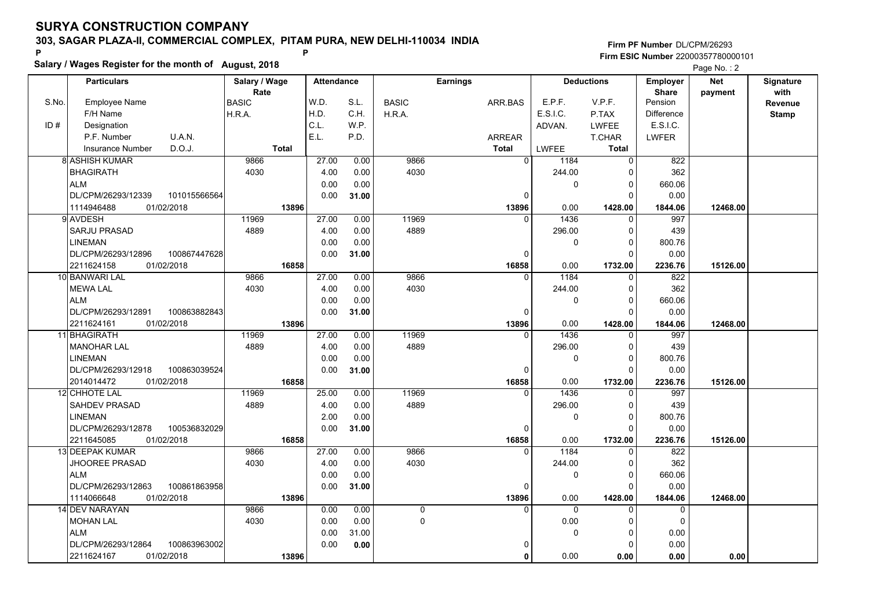**Salary / Wages Register for the month of August, 2018 <sup>P</sup> <sup>P</sup>**

|       | Salary / Wages Register for the month of August, 2018 |               |                   |       |                |                 |              |                   |                   |            |                  |
|-------|-------------------------------------------------------|---------------|-------------------|-------|----------------|-----------------|--------------|-------------------|-------------------|------------|------------------|
|       | <b>Particulars</b>                                    | Salary / Wage | <b>Attendance</b> |       |                | <b>Earnings</b> |              | <b>Deductions</b> | Employer          | <b>Net</b> | <b>Signature</b> |
|       |                                                       | Rate          |                   |       |                |                 |              |                   | <b>Share</b>      | payment    | with             |
| S.No. | <b>Employee Name</b>                                  | <b>BASIC</b>  | W.D.              | S.L.  | <b>BASIC</b>   | ARR.BAS         | E.P.F.       | V.P.F.            | Pension           |            | Revenue          |
|       | F/H Name                                              | H.R.A.        | H.D.              | C.H.  | H.R.A.         |                 | E.S.I.C.     | P.TAX             | <b>Difference</b> |            | <b>Stamp</b>     |
| ID#   | Designation                                           |               | C.L.              | W.P.  |                |                 | ADVAN.       | <b>LWFEE</b>      | E.S.I.C.          |            |                  |
|       | P.F. Number<br>U.A.N.                                 |               | E.L.              | P.D.  |                | <b>ARREAR</b>   |              | <b>T.CHAR</b>     | <b>LWFER</b>      |            |                  |
|       | D.O.J.<br><b>Insurance Number</b>                     | Total         |                   |       |                | <b>Total</b>    | <b>LWFEE</b> | <b>Total</b>      |                   |            |                  |
|       | 8 ASHISH KUMAR                                        | 9866          | 27.00             | 0.00  | 9866           | $\overline{0}$  | 1184         | $\overline{0}$    | 822               |            |                  |
|       | <b>BHAGIRATH</b>                                      | 4030          | 4.00              | 0.00  | 4030           |                 | 244.00       | 0                 | 362               |            |                  |
|       | <b>ALM</b>                                            |               | 0.00              | 0.00  |                |                 | $\mathbf 0$  | 0                 | 660.06            |            |                  |
|       | DL/CPM/26293/12339<br>101015566564                    |               | 0.00              | 31.00 |                | $\Omega$        |              | $\Omega$          | 0.00              |            |                  |
|       | 01/02/2018<br>1114946488                              | 13896         |                   |       |                | 13896           | 0.00         | 1428.00           | 1844.06           | 12468.00   |                  |
|       | 9 AVDESH                                              | 11969         | 27.00             | 0.00  | 11969          |                 | 1436         | $\Omega$          | 997               |            |                  |
|       | <b>SARJU PRASAD</b>                                   | 4889          | 4.00              | 0.00  | 4889           |                 | 296.00       | $\Omega$          | 439               |            |                  |
|       | <b>LINEMAN</b>                                        |               | 0.00              | 0.00  |                |                 | 0            | $\Omega$          | 800.76            |            |                  |
|       | DL/CPM/26293/12896<br>100867447628                    |               | 0.00              | 31.00 |                | 0               |              | $\Omega$          | 0.00              |            |                  |
|       | 2211624158<br>01/02/2018                              | 16858         |                   |       |                | 16858           | 0.00         | 1732.00           | 2236.76           | 15126.00   |                  |
|       | 10 BANWARI LAL                                        | 9866          | 27.00             | 0.00  | 9866           | 0               | 1184         | 0                 | 822               |            |                  |
|       | <b>MEWA LAL</b>                                       | 4030          | 4.00              | 0.00  | 4030           |                 | 244.00       | 0                 | 362               |            |                  |
|       | <b>ALM</b>                                            |               | 0.00              | 0.00  |                |                 | $\mathbf 0$  | $\Omega$          | 660.06            |            |                  |
|       | DL/CPM/26293/12891<br>100863882843                    |               | 0.00              | 31.00 |                | $\Omega$        |              | $\Omega$          | 0.00              |            |                  |
|       | 2211624161<br>01/02/2018                              | 13896         |                   |       |                | 13896           | 0.00         | 1428.00           | 1844.06           | 12468.00   |                  |
|       | 11 BHAGIRATH                                          | 11969         | 27.00             | 0.00  | 11969          | $\Omega$        | 1436         | $\Omega$          | 997               |            |                  |
|       | <b>MANOHAR LAL</b>                                    | 4889          | 4.00              | 0.00  | 4889           |                 | 296.00       | $\Omega$          | 439               |            |                  |
|       | <b>LINEMAN</b>                                        |               | 0.00              | 0.00  |                |                 | 0            | 0                 | 800.76            |            |                  |
|       | DL/CPM/26293/12918<br>100863039524                    |               | 0.00              | 31.00 |                | 0               |              | $\Omega$          | 0.00              |            |                  |
|       | 01/02/2018<br>2014014472                              | 16858         |                   |       |                | 16858           | 0.00         | 1732.00           | 2236.76           | 15126.00   |                  |
|       | 12 CHHOTE LAL                                         | 11969         | 25.00             | 0.00  | 11969          |                 | 1436         | $\Omega$          | 997               |            |                  |
|       | <b>SAHDEV PRASAD</b>                                  | 4889          | 4.00              | 0.00  | 4889           |                 | 296.00       | 0                 | 439               |            |                  |
|       | <b>LINEMAN</b>                                        |               | 2.00              | 0.00  |                |                 | $\mathbf 0$  | $\Omega$          | 800.76            |            |                  |
|       | DL/CPM/26293/12878<br>100536832029                    |               | 0.00              | 31.00 |                | 0               |              | $\Omega$          | 0.00              |            |                  |
|       | 2211645085<br>01/02/2018                              | 16858         |                   |       |                | 16858           | 0.00         | 1732.00           | 2236.76           | 15126.00   |                  |
|       | 13 DEEPAK KUMAR                                       | 9866          | 27.00             | 0.00  | 9866           | 0               | 1184         | 0                 | 822               |            |                  |
|       | <b>JHOOREE PRASAD</b>                                 | 4030          | 4.00              | 0.00  | 4030           |                 | 244.00       | $\Omega$          | 362               |            |                  |
|       | <b>ALM</b>                                            |               | 0.00              | 0.00  |                |                 | $\mathbf 0$  | $\Omega$          | 660.06            |            |                  |
|       | DL/CPM/26293/12863<br>100861863958                    |               | 0.00              | 31.00 |                | $\Omega$        |              | $\Omega$          | 0.00              |            |                  |
|       | 1114066648<br>01/02/2018                              | 13896         |                   |       |                | 13896           | 0.00         | 1428.00           | 1844.06           | 12468.00   |                  |
|       | 14 DEV NARAYAN                                        | 9866          | 0.00              | 0.00  | $\overline{0}$ | $\Omega$        | $\Omega$     | $\Omega$          | $\Omega$          |            |                  |
|       | <b>MOHAN LAL</b>                                      | 4030          | 0.00              | 0.00  | $\Omega$       |                 | 0.00         | $\Omega$          | $\Omega$          |            |                  |
|       | <b>ALM</b>                                            |               | 0.00              | 31.00 |                |                 | $\mathbf 0$  | 0                 | 0.00              |            |                  |
|       | 100863963002<br>DL/CPM/26293/12864                    |               | 0.00              | 0.00  |                | 0               |              | 0                 | 0.00              |            |                  |
|       | 01/02/2018<br>2211624167                              | 13896         |                   |       |                | $\mathbf{0}$    | 0.00         | 0.00              | 0.00              | 0.00       |                  |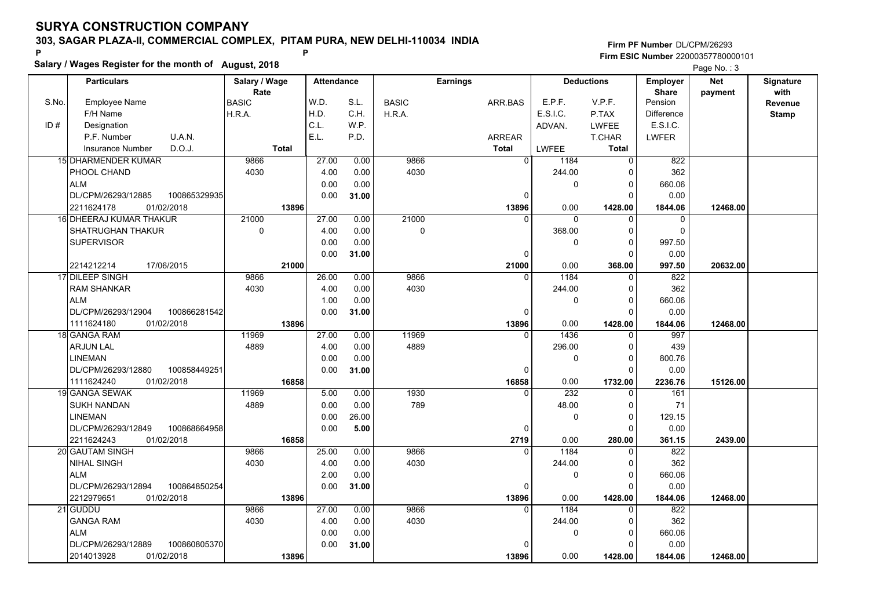**Salary / Wages Register for the month of August, 2018 <sup>P</sup> <sup>P</sup>**

|       | Salary / Wages Register for the month of August, 2018 |               |                   |       |              | Page No.: 3     |          |                   |                   |            |              |
|-------|-------------------------------------------------------|---------------|-------------------|-------|--------------|-----------------|----------|-------------------|-------------------|------------|--------------|
|       | <b>Particulars</b>                                    | Salary / Wage | <b>Attendance</b> |       |              | <b>Earnings</b> |          | <b>Deductions</b> | Employer          | <b>Net</b> | Signature    |
|       |                                                       | Rate          |                   |       |              |                 |          |                   | <b>Share</b>      | payment    | with         |
| S.No. | Employee Name                                         | <b>BASIC</b>  | W.D.              | S.L.  | <b>BASIC</b> | ARR.BAS         | E.P.F.   | V.P.F.            | Pension           |            | Revenue      |
|       | F/H Name                                              | H.R.A.        | H.D.              | C.H.  | H.R.A.       |                 | E.S.I.C. | P.TAX             | <b>Difference</b> |            | <b>Stamp</b> |
| ID#   | Designation                                           |               | C.L.              | W.P.  |              |                 | ADVAN.   | LWFEE             | E.S.I.C.          |            |              |
|       | U.A.N.<br>P.F. Number                                 |               | E.L.              | P.D.  |              | ARREAR          |          | <b>T.CHAR</b>     | <b>LWFER</b>      |            |              |
|       | D.O.J.<br><b>Insurance Number</b>                     | <b>Total</b>  |                   |       |              | <b>Total</b>    | LWFEE    | Total             |                   |            |              |
|       | <b>15 DHARMENDER KUMAR</b>                            | 9866          | 27.00             | 0.00  | 9866         | $\overline{0}$  | 1184     | $\overline{0}$    | 822               |            |              |
|       | PHOOL CHAND                                           | 4030          | 4.00              | 0.00  | 4030         |                 | 244.00   | $\Omega$          | 362               |            |              |
|       | <b>ALM</b>                                            |               | 0.00              | 0.00  |              |                 | 0        | 0                 | 660.06            |            |              |
|       | 100865329935<br>DL/CPM/26293/12885                    |               | 0.00              | 31.00 |              | $\Omega$        |          | $\Omega$          | 0.00              |            |              |
|       | 01/02/2018<br>2211624178                              | 13896         |                   |       |              | 13896           | 0.00     | 1428.00           | 1844.06           | 12468.00   |              |
|       | <b>16 DHEERAJ KUMAR THAKUR</b>                        | 21000         | 27.00             | 0.00  | 21000        |                 | $\Omega$ | O                 | 0                 |            |              |
|       | SHATRUGHAN THAKUR                                     | $\mathbf 0$   | 4.00              | 0.00  | $\mathbf 0$  |                 | 368.00   | $\Omega$          | $\mathbf 0$       |            |              |
|       | <b>SUPERVISOR</b>                                     |               | 0.00              | 0.00  |              |                 | $\Omega$ | $\Omega$          | 997.50            |            |              |
|       |                                                       |               | 0.00              | 31.00 |              | 0               |          | 0                 | 0.00              |            |              |
|       | 17/06/2015<br>2214212214                              | 21000         |                   |       |              | 21000           | 0.00     | 368.00            | 997.50            | 20632.00   |              |
|       | 17 DILEEP SINGH                                       | 9866          | 26.00             | 0.00  | 9866         | $\Omega$        | 1184     | $\Omega$          | 822               |            |              |
|       | <b>RAM SHANKAR</b>                                    | 4030          | 4.00              | 0.00  | 4030         |                 | 244.00   | 0                 | 362               |            |              |
|       | <b>ALM</b>                                            |               | 1.00              | 0.00  |              |                 | 0        | $\Omega$          | 660.06            |            |              |
|       | DL/CPM/26293/12904<br>100866281542                    |               | 0.00              | 31.00 |              | $\Omega$        |          | $\Omega$          | 0.00              |            |              |
|       | 1111624180<br>01/02/2018                              | 13896         |                   |       |              | 13896           | 0.00     | 1428.00           | 1844.06           | 12468.00   |              |
|       | 18 GANGA RAM                                          | 11969         | 27.00             | 0.00  | 11969        | $\Omega$        | 1436     | $\Omega$          | 997               |            |              |
|       | <b>ARJUN LAL</b>                                      | 4889          | 4.00              | 0.00  | 4889         |                 | 296.00   | $\Omega$          | 439               |            |              |
|       | <b>LINEMAN</b>                                        |               | 0.00              | 0.00  |              |                 | 0        | 0                 | 800.76            |            |              |
|       | 100858449251<br>DL/CPM/26293/12880                    |               | 0.00              | 31.00 |              | 0               |          | $\Omega$          | 0.00              |            |              |
|       | 01/02/2018<br>1111624240                              | 16858         |                   |       |              | 16858           | 0.00     | 1732.00           | 2236.76           | 15126.00   |              |
|       | 19 GANGA SEWAK                                        | 11969         | 5.00              | 0.00  | 1930         |                 | 232      | $\Omega$          | 161               |            |              |
|       | SUKH NANDAN                                           | 4889          | 0.00              | 0.00  | 789          |                 | 48.00    | 0                 | 71                |            |              |
|       | <b>LINEMAN</b>                                        |               | 0.00              | 26.00 |              |                 | 0        | $\Omega$          | 129.15            |            |              |
|       | DL/CPM/26293/12849<br>100868664958                    |               | 0.00              | 5.00  |              | 0               |          | $\Omega$          | 0.00              |            |              |
|       | 2211624243<br>01/02/2018                              | 16858         |                   |       |              | 2719            | 0.00     | 280.00            | 361.15            | 2439.00    |              |
|       | 20 GAUTAM SINGH                                       | 9866          | 25.00             | 0.00  | 9866         | $\Omega$        | 1184     | $\mathbf 0$       | 822               |            |              |
|       | NIHAL SINGH                                           | 4030          | 4.00              | 0.00  | 4030         |                 | 244.00   | 0                 | 362               |            |              |
|       | <b>ALM</b>                                            |               | 2.00              | 0.00  |              |                 | 0        | $\Omega$          | 660.06            |            |              |
|       | DL/CPM/26293/12894<br>100864850254                    |               | 0.00              | 31.00 |              | $\Omega$        |          | $\Omega$          | 0.00              |            |              |
|       | 2212979651<br>01/02/2018                              | 13896         |                   |       |              | 13896           | 0.00     | 1428.00           | 1844.06           | 12468.00   |              |
|       | 21 GUDDU                                              | 9866          | 27.00             | 0.00  | 9866         | $\Omega$        | 1184     | $\Omega$          | 822               |            |              |
|       | <b>GANGA RAM</b>                                      | 4030          | 4.00              | 0.00  | 4030         |                 | 244.00   | $\Omega$          | 362               |            |              |
|       | <b>ALM</b>                                            |               | 0.00              | 0.00  |              |                 | 0        | 0                 | 660.06            |            |              |
|       | DL/CPM/26293/12889<br>100860805370                    |               | 0.00              | 31.00 |              |                 |          | 0                 | 0.00              |            |              |
|       | 01/02/2018<br>2014013928                              | 13896         |                   |       |              | 13896           | 0.00     | 1428.00           | 1844.06           | 12468.00   |              |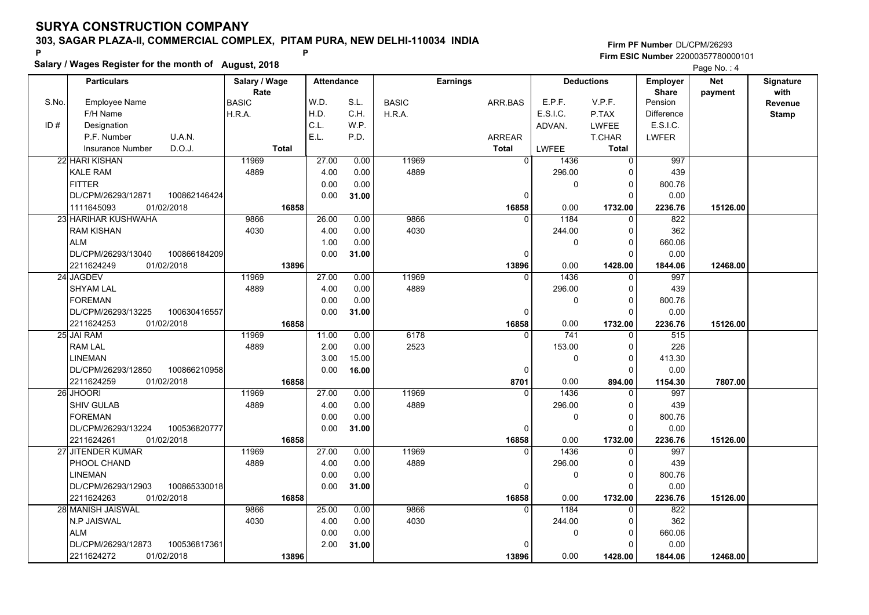**Salary / Wages Register for the month of August, 2018 <sup>P</sup> <sup>P</sup>**

|       | Salary / Wages Register for the month of August, 2018 |               |                   |       |              |                 |             | Page No.: 4       |                   |          |                  |
|-------|-------------------------------------------------------|---------------|-------------------|-------|--------------|-----------------|-------------|-------------------|-------------------|----------|------------------|
|       | <b>Particulars</b>                                    | Salary / Wage | <b>Attendance</b> |       |              | <b>Earnings</b> |             | <b>Deductions</b> | Employer          | Net      | <b>Signature</b> |
|       |                                                       | Rate          |                   |       |              |                 |             |                   | <b>Share</b>      | payment  | with             |
| S.No. | <b>Employee Name</b>                                  | <b>BASIC</b>  | W.D.              | S.L.  | <b>BASIC</b> | ARR.BAS         | E.P.F.      | V.P.F.            | Pension           |          | <b>Revenue</b>   |
|       | F/H Name                                              | H.R.A.        | H.D.              | C.H.  | H.R.A.       |                 | E.S.I.C.    | P.TAX             | <b>Difference</b> |          | <b>Stamp</b>     |
| ID#   | Designation                                           |               | C.L.              | W.P.  |              |                 | ADVAN.      | <b>LWFEE</b>      | E.S.I.C.          |          |                  |
|       | P.F. Number<br>U.A.N.                                 |               | E.L.              | P.D.  |              | <b>ARREAR</b>   |             | <b>T.CHAR</b>     | <b>LWFER</b>      |          |                  |
|       | D.O.J.<br><b>Insurance Number</b>                     | <b>Total</b>  |                   |       |              | <b>Total</b>    | LWFEE       | <b>Total</b>      |                   |          |                  |
|       | 22 HARI KISHAN                                        | 11969         | 27.00             | 0.00  | 11969        | $\overline{0}$  | 1436        | $\overline{0}$    | 997               |          |                  |
|       | <b>KALE RAM</b>                                       | 4889          | 4.00              | 0.00  | 4889         |                 | 296.00      | $\Omega$          | 439               |          |                  |
|       | <b>FITTER</b>                                         |               | 0.00              | 0.00  |              |                 | $\mathbf 0$ | 0                 | 800.76            |          |                  |
|       | 100862146424<br>DL/CPM/26293/12871                    |               | 0.00              | 31.00 |              | $\Omega$        |             | $\Omega$          | 0.00              |          |                  |
|       | 1111645093<br>01/02/2018                              | 16858         |                   |       |              | 16858           | 0.00        | 1732.00           | 2236.76           | 15126.00 |                  |
|       | 23 HARIHAR KUSHWAHA                                   | 9866          | 26.00             | 0.00  | 9866         | $\Omega$        | 1184        | $\Omega$          | 822               |          |                  |
|       | <b>RAM KISHAN</b>                                     | 4030          | 4.00              | 0.00  | 4030         |                 | 244.00      | $\Omega$          | 362               |          |                  |
|       | <b>ALM</b>                                            |               | 1.00              | 0.00  |              |                 | $\pmb{0}$   | $\mathbf 0$       | 660.06            |          |                  |
|       | DL/CPM/26293/13040<br>100866184209                    |               | 0.00              | 31.00 |              | $\Omega$        |             | $\Omega$          | 0.00              |          |                  |
|       | 2211624249<br>01/02/2018                              | 13896         |                   |       |              | 13896           | 0.00        | 1428.00           | 1844.06           | 12468.00 |                  |
|       | 24 JAGDEV                                             | 11969         | 27.00             | 0.00  | 11969        | $\Omega$        | 1436        | $\Omega$          | 997               |          |                  |
|       | <b>SHYAM LAL</b>                                      | 4889          | 4.00              | 0.00  | 4889         |                 | 296.00      | $\Omega$          | 439               |          |                  |
|       | <b>FOREMAN</b>                                        |               | 0.00              | 0.00  |              |                 | $\mathbf 0$ | $\Omega$          | 800.76            |          |                  |
|       | DL/CPM/26293/13225<br>100630416557                    |               | 0.00              | 31.00 |              | $\Omega$        |             | $\Omega$          | 0.00              |          |                  |
|       | 2211624253<br>01/02/2018                              | 16858         |                   |       |              | 16858           | 0.00        | 1732.00           | 2236.76           | 15126.00 |                  |
|       | 25 JAI RAM                                            | 11969         | 11.00             | 0.00  | 6178         | $\Omega$        | 741         | $\Omega$          | 515               |          |                  |
|       | <b>RAM LAL</b>                                        | 4889          | 2.00              | 0.00  | 2523         |                 | 153.00      | $\Omega$          | 226               |          |                  |
|       | <b>LINEMAN</b>                                        |               | 3.00              | 15.00 |              |                 | $\pmb{0}$   | $\Omega$          | 413.30            |          |                  |
|       | DL/CPM/26293/12850<br>100866210958                    |               | 0.00              | 16.00 |              | $\Omega$        |             | $\Omega$          | 0.00              |          |                  |
|       | 01/02/2018<br>2211624259                              | 16858         |                   |       |              | 8701            | 0.00        | 894.00            | 1154.30           | 7807.00  |                  |
|       | 26 JHOORI                                             | 11969         | 27.00             | 0.00  | 11969        | $\Omega$        | 1436        | $\Omega$          | 997               |          |                  |
|       | <b>SHIV GULAB</b>                                     | 4889          | 4.00              | 0.00  | 4889         |                 | 296.00      | 0                 | 439               |          |                  |
|       | <b>FOREMAN</b>                                        |               | 0.00              | 0.00  |              |                 | $\mathbf 0$ | $\Omega$          | 800.76            |          |                  |
|       | DL/CPM/26293/13224<br>100536820777                    |               | 0.00              | 31.00 |              | $\Omega$        |             | $\Omega$          | 0.00              |          |                  |
|       | 2211624261<br>01/02/2018                              | 16858         |                   |       |              | 16858           | 0.00        | 1732.00           | 2236.76           | 15126.00 |                  |
|       | 27 JITENDER KUMAR                                     | 11969         | 27.00             | 0.00  | 11969        | $\mathbf{0}$    | 1436        | 0                 | 997               |          |                  |
|       | PHOOL CHAND                                           | 4889          | 4.00              | 0.00  | 4889         |                 | 296.00      | $\Omega$          | 439               |          |                  |
|       | <b>LINEMAN</b>                                        |               | 0.00              | 0.00  |              |                 | $\mathbf 0$ | $\Omega$          | 800.76            |          |                  |
|       | DL/CPM/26293/12903<br>100865330018                    |               | 0.00              | 31.00 |              | $\Omega$        |             | $\Omega$          | 0.00              |          |                  |
|       | 2211624263<br>01/02/2018                              | 16858         |                   |       |              | 16858           | 0.00        | 1732.00           | 2236.76           | 15126.00 |                  |
|       | 28 MANISH JAISWAL                                     | 9866          | 25.00             | 0.00  | 9866         | $\Omega$        | 1184        | 0                 | 822               |          |                  |
|       | N.P JAISWAL                                           | 4030          | 4.00              | 0.00  | 4030         |                 | 244.00      | $\Omega$          | 362               |          |                  |
|       | <b>ALM</b>                                            |               | 0.00              | 0.00  |              |                 | 0           | 0                 | 660.06            |          |                  |
|       | DL/CPM/26293/12873<br>100536817361                    |               | 2.00              | 31.00 |              |                 |             | 0                 | 0.00              |          |                  |
|       | 2211624272<br>01/02/2018                              | 13896         |                   |       |              | 13896           | 0.00        | 1428.00           | 1844.06           | 12468.00 |                  |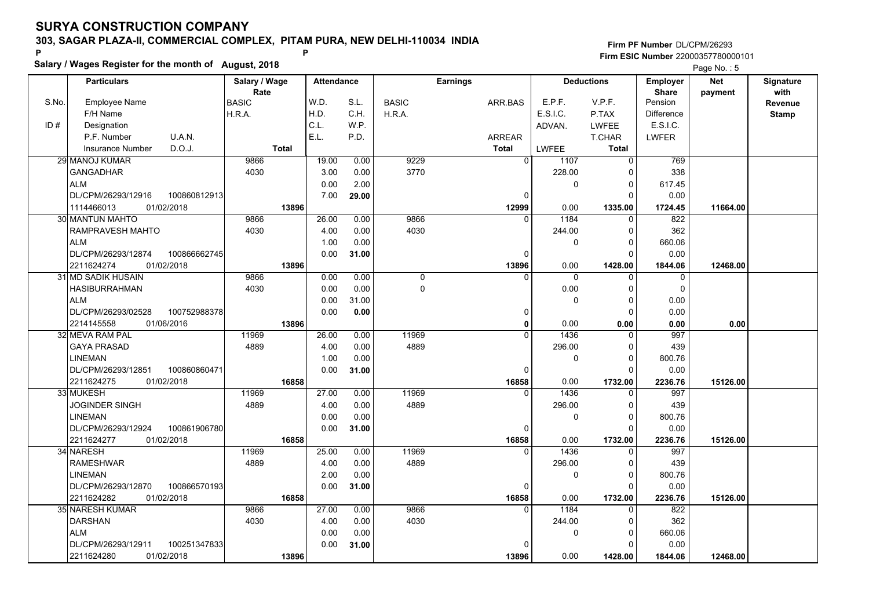**Salary / Wages Register for the month of August, 2018 <sup>P</sup> <sup>P</sup>**

|       | Salary / Wages Register for the month of August, 2018 |               |                   |              |              |                 |                |                     |                   |            |                  |
|-------|-------------------------------------------------------|---------------|-------------------|--------------|--------------|-----------------|----------------|---------------------|-------------------|------------|------------------|
|       | <b>Particulars</b>                                    | Salary / Wage | <b>Attendance</b> |              |              | <b>Earnings</b> |                | <b>Deductions</b>   | Employer          | <b>Net</b> | <b>Signature</b> |
|       |                                                       | Rate          |                   |              |              |                 |                |                     | <b>Share</b>      | payment    | with             |
| S.No. | <b>Employee Name</b>                                  | <b>BASIC</b>  | W.D.              | S.L.         | <b>BASIC</b> | ARR.BAS         | E.P.F.         | V.P.F.              | Pension           |            | Revenue          |
|       | F/H Name                                              | H.R.A.        | H.D.              | C.H.         | H.R.A.       |                 | E.S.I.C.       | P.TAX               | <b>Difference</b> |            | <b>Stamp</b>     |
| ID#   | Designation                                           |               | C.L.<br>E.L.      | W.P.         |              |                 | ADVAN.         | <b>LWFEE</b>        | E.S.I.C.          |            |                  |
|       | P.F. Number<br>U.A.N.                                 |               |                   | P.D.         |              | <b>ARREAR</b>   |                | <b>T.CHAR</b>       | <b>LWFER</b>      |            |                  |
|       | D.O.J.<br><b>Insurance Number</b>                     | Total         |                   |              |              | <b>Total</b>    | <b>LWFEE</b>   | <b>Total</b>        |                   |            |                  |
|       | 29 MANOJ KUMAR                                        | 9866<br>4030  | 19.00<br>3.00     | 0.00         | 9229<br>3770 | $\overline{0}$  | 1107<br>228.00 | $\overline{0}$<br>0 | 769<br>338        |            |                  |
|       | <b>GANGADHAR</b><br><b>ALM</b>                        |               | 0.00              | 0.00<br>2.00 |              |                 | $\mathbf 0$    |                     | 617.45            |            |                  |
|       | DL/CPM/26293/12916<br>100860812913                    |               | 7.00              | 29.00        |              | $\Omega$        |                | 0<br>$\Omega$       | 0.00              |            |                  |
|       | 01/02/2018<br>1114466013                              | 13896         |                   |              |              | 12999           | 0.00           | 1335.00             | 1724.45           | 11664.00   |                  |
|       | 30 MANTUN MAHTO                                       | 9866          | 26.00             | 0.00         | 9866         |                 | 1184           | $\Omega$            | 822               |            |                  |
|       | RAMPRAVESH MAHTO                                      | 4030          | 4.00              | 0.00         | 4030         |                 | 244.00         | $\Omega$            | 362               |            |                  |
|       | <b>ALM</b>                                            |               | 1.00              | 0.00         |              |                 | $\mathbf 0$    | $\Omega$            | 660.06            |            |                  |
|       | DL/CPM/26293/12874<br>100866662745                    |               | 0.00              | 31.00        |              | 0               |                | $\Omega$            | 0.00              |            |                  |
|       | 2211624274<br>01/02/2018                              | 13896         |                   |              |              | 13896           | 0.00           | 1428.00             | 1844.06           | 12468.00   |                  |
|       | 31 MD SADIK HUSAIN                                    | 9866          | 0.00              | 0.00         | 0            | $\Omega$        | $\mathbf{0}$   | $\mathbf{0}$        | 0                 |            |                  |
|       | <b>HASIBURRAHMAN</b>                                  | 4030          | 0.00              | 0.00         | 0            |                 | 0.00           | $\Omega$            | 0                 |            |                  |
|       | <b>ALM</b>                                            |               | 0.00              | 31.00        |              |                 | $\mathbf 0$    | $\Omega$            | 0.00              |            |                  |
|       | DL/CPM/26293/02528<br>100752988378                    |               | 0.00              | 0.00         |              | 0               |                | $\Omega$            | 0.00              |            |                  |
|       | 2214145558<br>01/06/2016                              | 13896         |                   |              |              | 0               | 0.00           | 0.00                | 0.00              | 0.00       |                  |
|       | 32 MEVA RAM PAL                                       | 11969         | 26.00             | 0.00         | 11969        | $\Omega$        | 1436           | $\Omega$            | 997               |            |                  |
|       | <b>GAYA PRASAD</b>                                    | 4889          | 4.00              | 0.00         | 4889         |                 | 296.00         | 0                   | 439               |            |                  |
|       | <b>LINEMAN</b>                                        |               | 1.00              | 0.00         |              |                 | 0              | $\Omega$            | 800.76            |            |                  |
|       | DL/CPM/26293/12851<br>100860860471                    |               | 0.00              | 31.00        |              | 0               |                | $\Omega$            | 0.00              |            |                  |
|       | 01/02/2018<br>2211624275                              | 16858         |                   |              |              | 16858           | 0.00           | 1732.00             | 2236.76           | 15126.00   |                  |
|       | 33 MUKESH                                             | 11969         | 27.00             | 0.00         | 11969        | $\Omega$        | 1436           | $\Omega$            | 997               |            |                  |
|       | JOGINDER SINGH                                        | 4889          | 4.00              | 0.00         | 4889         |                 | 296.00         | 0                   | 439               |            |                  |
|       | <b>LINEMAN</b>                                        |               | 0.00              | 0.00         |              |                 | $\mathbf 0$    | $\Omega$            | 800.76            |            |                  |
|       | 100861906780<br>DL/CPM/26293/12924                    |               | 0.00              | 31.00        |              | 0               |                | $\Omega$            | 0.00              |            |                  |
|       | 2211624277<br>01/02/2018                              | 16858         |                   |              |              | 16858           | 0.00           | 1732.00             | 2236.76           | 15126.00   |                  |
|       | 34 NARESH                                             | 11969         | 25.00             | 0.00         | 11969        | 0               | 1436           | 0                   | 997               |            |                  |
|       | <b>RAMESHWAR</b>                                      | 4889          | 4.00              | 0.00         | 4889         |                 | 296.00         | $\Omega$            | 439               |            |                  |
|       | <b>LINEMAN</b>                                        |               | 2.00              | 0.00         |              |                 | $\mathbf 0$    | $\Omega$            | 800.76            |            |                  |
|       | DL/CPM/26293/12870<br>100866570193                    |               | 0.00              | 31.00        |              | $\Omega$        |                | $\Omega$            | 0.00              |            |                  |
|       | 2211624282<br>01/02/2018                              | 16858         |                   |              |              | 16858           | 0.00           | 1732.00             | 2236.76           | 15126.00   |                  |
|       | 35 NARESH KUMAR                                       | 9866          | 27.00             | 0.00         | 9866         | $\Omega$        | 1184           | $\Omega$            | 822               |            |                  |
|       | <b>DARSHAN</b>                                        | 4030          | 4.00              | 0.00         | 4030         |                 | 244.00         | $\Omega$            | 362               |            |                  |
|       | <b>ALM</b>                                            |               | 0.00              | 0.00         |              |                 | 0              | 0                   | 660.06            |            |                  |
|       | 100251347833<br>DL/CPM/26293/12911                    |               | 0.00              | 31.00        |              |                 |                | 0                   | 0.00              |            |                  |
|       | 01/02/2018<br>2211624280                              | 13896         |                   |              |              | 13896           | 0.00           | 1428.00             | 1844.06           | 12468.00   |                  |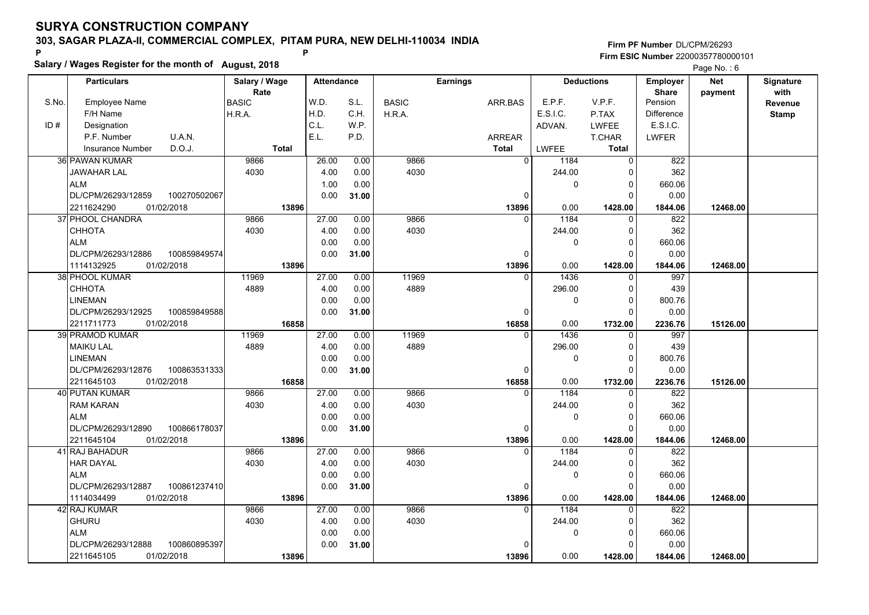**Salary / Wages Register for the month of August, 2018 <sup>P</sup> <sup>P</sup>**

|       | Salary / Wages Register for the month of August, 2018 | Page No.: 6   |                   |       |              |                 |             |                   |                   |            |                  |
|-------|-------------------------------------------------------|---------------|-------------------|-------|--------------|-----------------|-------------|-------------------|-------------------|------------|------------------|
|       | <b>Particulars</b>                                    | Salary / Wage | <b>Attendance</b> |       |              | <b>Earnings</b> |             | <b>Deductions</b> | Employer          | <b>Net</b> | <b>Signature</b> |
|       |                                                       | Rate          |                   |       |              |                 |             |                   | <b>Share</b>      | payment    | with             |
| S.No. | <b>Employee Name</b>                                  | <b>BASIC</b>  | W.D.              | S.L.  | <b>BASIC</b> | ARR.BAS         | E.P.F.      | V.P.F.            | Pension           |            | Revenue          |
|       | F/H Name                                              | H.R.A.        | H.D.              | C.H.  | H.R.A.       |                 | E.S.I.C.    | P.TAX             | <b>Difference</b> |            | <b>Stamp</b>     |
| ID#   | Designation                                           |               | C.L.              | W.P.  |              |                 | ADVAN.      | <b>LWFEE</b>      | E.S.I.C.          |            |                  |
|       | P.F. Number<br>U.A.N.                                 |               | E.L.              | P.D.  |              | ARREAR          |             | T.CHAR            | <b>LWFER</b>      |            |                  |
|       | D.O.J.<br><b>Insurance Number</b>                     | <b>Total</b>  |                   |       |              | <b>Total</b>    | LWFEE       | <b>Total</b>      |                   |            |                  |
|       | 36 PAWAN KUMAR                                        | 9866          | 26.00             | 0.00  | 9866         | $\overline{0}$  | 1184        | $\overline{0}$    | 822               |            |                  |
|       | JAWAHAR LAL                                           | 4030          | 4.00              | 0.00  | 4030         |                 | 244.00      | $\Omega$          | 362               |            |                  |
|       | <b>ALM</b>                                            |               | 1.00              | 0.00  |              |                 | $\mathbf 0$ | 0                 | 660.06            |            |                  |
|       | DL/CPM/26293/12859<br>100270502067                    |               | 0.00              | 31.00 |              | $\Omega$        |             | $\Omega$          | 0.00              |            |                  |
|       | 01/02/2018<br>2211624290                              | 13896         |                   |       |              | 13896           | 0.00        | 1428.00           | 1844.06           | 12468.00   |                  |
|       | 37 PHOOL CHANDRA                                      | 9866          | 27.00             | 0.00  | 9866         | $\Omega$        | 1184        | $\Omega$          | 822               |            |                  |
|       | <b>CHHOTA</b>                                         | 4030          | 4.00              | 0.00  | 4030         |                 | 244.00      | $\mathbf{0}$      | 362               |            |                  |
|       | <b>ALM</b>                                            |               | 0.00              | 0.00  |              |                 | $\pmb{0}$   | $\mathbf{0}$      | 660.06            |            |                  |
|       | DL/CPM/26293/12886<br>100859849574                    |               | 0.00              | 31.00 |              | 0               |             | $\Omega$          | 0.00              |            |                  |
|       | 1114132925<br>01/02/2018                              | 13896         |                   |       |              | 13896           | 0.00        | 1428.00           | 1844.06           | 12468.00   |                  |
|       | 38 PHOOL KUMAR                                        | 11969         | 27.00             | 0.00  | 11969        | $\Omega$        | 1436        | $\Omega$          | 997               |            |                  |
|       | СННОТА                                                | 4889          | 4.00              | 0.00  | 4889         |                 | 296.00      | 0                 | 439               |            |                  |
|       | <b>LINEMAN</b>                                        |               | 0.00              | 0.00  |              |                 | 0           | $\Omega$          | 800.76            |            |                  |
|       | DL/CPM/26293/12925<br>100859849588                    |               | 0.00              | 31.00 |              | 0               |             | $\Omega$          | 0.00              |            |                  |
|       | 2211711773<br>01/02/2018                              | 16858         |                   |       |              | 16858           | 0.00        | 1732.00           | 2236.76           | 15126.00   |                  |
|       | 39 PRAMOD KUMAR                                       | 11969         | 27.00             | 0.00  | 11969        | $\Omega$        | 1436        | $\Omega$          | 997               |            |                  |
|       | <b>MAIKU LAL</b>                                      | 4889          | 4.00              | 0.00  | 4889         |                 | 296.00      | $\Omega$          | 439               |            |                  |
|       | <b>LINEMAN</b>                                        |               | 0.00              | 0.00  |              |                 | 0           | $\Omega$          | 800.76            |            |                  |
|       | DL/CPM/26293/12876<br>100863531333                    |               | 0.00              | 31.00 |              | 0               |             | $\Omega$          | 0.00              |            |                  |
|       | 01/02/2018<br>2211645103                              | 16858         |                   |       |              | 16858           | 0.00        | 1732.00           | 2236.76           | 15126.00   |                  |
|       | 40 PUTAN KUMAR                                        | 9866          | 27.00             | 0.00  | 9866         | $\Omega$        | 1184        | $\Omega$          | 822               |            |                  |
|       | <b>RAM KARAN</b>                                      | 4030          | 4.00              | 0.00  | 4030         |                 | 244.00      | 0                 | 362               |            |                  |
|       | <b>ALM</b>                                            |               | 0.00              | 0.00  |              |                 | 0           | $\Omega$          | 660.06            |            |                  |
|       | DL/CPM/26293/12890<br>100866178037                    |               | 0.00              | 31.00 |              | 0               |             | $\Omega$          | 0.00              |            |                  |
|       | 2211645104<br>01/02/2018                              | 13896         |                   |       |              | 13896           | 0.00        | 1428.00           | 1844.06           | 12468.00   |                  |
|       | 41 RAJ BAHADUR                                        | 9866          | 27.00             | 0.00  | 9866         | $\mathbf{0}$    | 1184        | 0                 | 822               |            |                  |
|       | <b>HAR DAYAL</b>                                      | 4030          | 4.00              | 0.00  | 4030         |                 | 244.00      | $\Omega$          | 362               |            |                  |
|       | <b>ALM</b>                                            |               | 0.00              | 0.00  |              |                 | $\mathbf 0$ | $\Omega$          | 660.06            |            |                  |
|       | DL/CPM/26293/12887<br>100861237410                    |               | 0.00              | 31.00 |              | 0               |             | $\Omega$          | 0.00              |            |                  |
|       | 1114034499<br>01/02/2018                              | 13896         |                   |       |              | 13896           | 0.00        | 1428.00           | 1844.06           | 12468.00   |                  |
|       | 42 RAJ KUMAR                                          | 9866          | 27.00             | 0.00  | 9866         | $\Omega$        | 1184        | $\Omega$          | 822               |            |                  |
|       | <b>GHURU</b>                                          | 4030          | 4.00              | 0.00  | 4030         |                 | 244.00      | $\Omega$          | 362               |            |                  |
|       | <b>ALM</b>                                            |               | 0.00              | 0.00  |              |                 | 0           | 0                 | 660.06            |            |                  |
|       | DL/CPM/26293/12888<br>100860895397                    |               | 0.00              | 31.00 |              | n               |             | $\Omega$          | 0.00              |            |                  |
|       | 2211645105<br>01/02/2018                              | 13896         |                   |       |              | 13896           | 0.00        | 1428.00           | 1844.06           | 12468.00   |                  |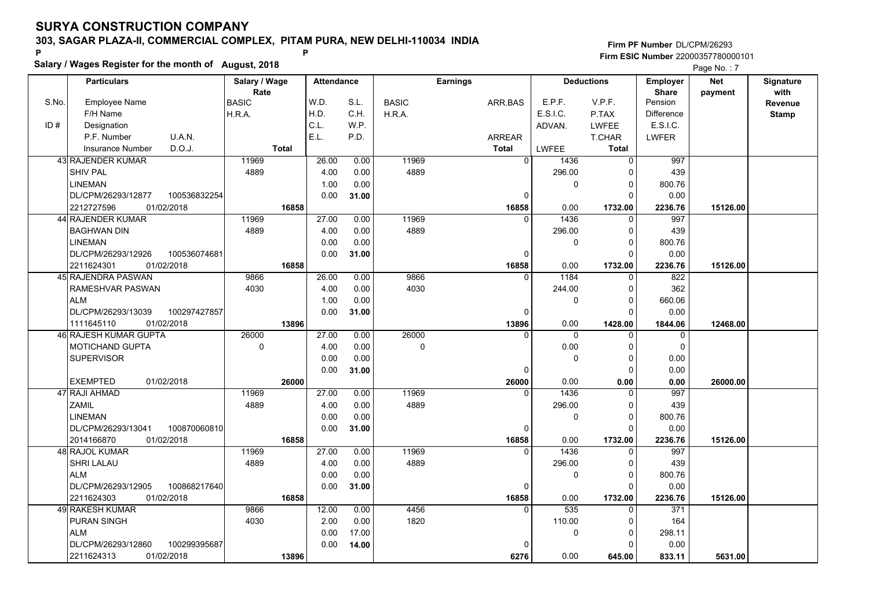**Salary / Wages Register for the month of August, 2018 <sup>P</sup> <sup>P</sup>**

|       | Salary / Wages Register for the month of August, 2018 |               |                   |       |              |                 |              |                   |                   |          |                  |
|-------|-------------------------------------------------------|---------------|-------------------|-------|--------------|-----------------|--------------|-------------------|-------------------|----------|------------------|
|       | <b>Particulars</b>                                    | Salary / Wage | <b>Attendance</b> |       |              | <b>Earnings</b> |              | <b>Deductions</b> | Employer          | Net      | <b>Signature</b> |
|       |                                                       | Rate          |                   |       |              |                 |              |                   | <b>Share</b>      | payment  | with             |
| S.No. | <b>Employee Name</b>                                  | <b>BASIC</b>  | W.D.              | S.L.  | <b>BASIC</b> | ARR.BAS         | E.P.F.       | V.P.F.            | Pension           |          | Revenue          |
|       | F/H Name                                              | H.R.A.        | H.D.              | C.H.  | H.R.A.       |                 | E.S.I.C.     | P.TAX             | <b>Difference</b> |          | <b>Stamp</b>     |
| ID#   | Designation                                           |               | C.L.              | W.P.  |              |                 | ADVAN.       | <b>LWFEE</b>      | E.S.I.C.          |          |                  |
|       | P.F. Number<br>U.A.N.                                 |               | E.L.              | P.D.  |              | ARREAR          |              | T.CHAR            | <b>LWFER</b>      |          |                  |
|       | D.O.J.<br><b>Insurance Number</b>                     | <b>Total</b>  |                   |       |              | <b>Total</b>    | <b>LWFEE</b> | Total             |                   |          |                  |
|       | 43 RAJENDER KUMAR                                     | 11969         | 26.00             | 0.00  | 11969        | $\overline{0}$  | 1436         | $\overline{0}$    | 997               |          |                  |
|       | SHIV PAL                                              | 4889          | 4.00              | 0.00  | 4889         |                 | 296.00       | $\Omega$          | 439               |          |                  |
|       | <b>LINEMAN</b>                                        |               | 1.00              | 0.00  |              |                 | 0            | 0                 | 800.76            |          |                  |
|       | 100536832254<br>DL/CPM/26293/12877                    |               | 0.00              | 31.00 |              | $\Omega$        |              | $\Omega$          | 0.00              |          |                  |
|       | 01/02/2018<br>2212727596                              | 16858         |                   |       |              | 16858           | 0.00         | 1732.00           | 2236.76           | 15126.00 |                  |
|       | 44 RAJENDER KUMAR                                     | 11969         | 27.00             | 0.00  | 11969        | $\Omega$        | 1436         | $\Omega$          | 997               |          |                  |
|       | <b>BAGHWAN DIN</b>                                    | 4889          | 4.00              | 0.00  | 4889         |                 | 296.00       | $\Omega$          | 439               |          |                  |
|       | <b>LINEMAN</b>                                        |               | 0.00              | 0.00  |              |                 | 0            | $\Omega$          | 800.76            |          |                  |
|       | DL/CPM/26293/12926<br>100536074681                    |               | 0.00              | 31.00 |              | 0               |              | $\Omega$          | 0.00              |          |                  |
|       | 2211624301<br>01/02/2018                              | 16858         |                   |       |              | 16858           | 0.00         | 1732.00           | 2236.76           | 15126.00 |                  |
|       | 45 RAJENDRA PASWAN                                    | 9866          | 26.00             | 0.00  | 9866         | $\Omega$        | 1184         | 0                 | 822               |          |                  |
|       | RAMESHVAR PASWAN                                      | 4030          | 4.00              | 0.00  | 4030         |                 | 244.00       | 0                 | 362               |          |                  |
|       | <b>ALM</b>                                            |               | 1.00              | 0.00  |              |                 | 0            | $\Omega$          | 660.06            |          |                  |
|       | DL/CPM/26293/13039<br>100297427857                    |               | 0.00              | 31.00 |              | 0               |              | $\Omega$          | 0.00              |          |                  |
|       | 1111645110<br>01/02/2018                              | 13896         |                   |       |              | 13896           | 0.00         | 1428.00           | 1844.06           | 12468.00 |                  |
|       | <b>46 RAJESH KUMAR GUPTA</b>                          | 26000         | 27.00             | 0.00  | 26000        | $\Omega$        | $\Omega$     | $\Omega$          | $\mathbf 0$       |          |                  |
|       | <b>MOTICHAND GUPTA</b>                                | $\mathbf 0$   | 4.00              | 0.00  | $\Omega$     |                 | 0.00         | $\Omega$          | $\Omega$          |          |                  |
|       | <b>SUPERVISOR</b>                                     |               | 0.00              | 0.00  |              |                 | 0            | 0                 | 0.00              |          |                  |
|       |                                                       |               | 0.00              | 31.00 |              | 0               |              | 0                 | 0.00              |          |                  |
|       | <b>EXEMPTED</b><br>01/02/2018                         | 26000         |                   |       |              | 26000           | 0.00         | 0.00              | 0.00              | 26000.00 |                  |
|       | 47 RAJI AHMAD                                         | 11969         | 27.00             | 0.00  | 11969        | $\Omega$        | 1436         | $\Omega$          | 997               |          |                  |
|       | <b>ZAMIL</b>                                          | 4889          | 4.00              | 0.00  | 4889         |                 | 296.00       | 0                 | 439               |          |                  |
|       | <b>LINEMAN</b>                                        |               | 0.00              | 0.00  |              |                 | 0            | $\Omega$          | 800.76            |          |                  |
|       | DL/CPM/26293/13041<br>100870060810                    |               | 0.00              | 31.00 |              | 0               |              | $\Omega$          | 0.00              |          |                  |
|       | 2014166870<br>01/02/2018                              | 16858         |                   |       |              | 16858           | 0.00         | 1732.00           | 2236.76           | 15126.00 |                  |
|       | <b>48 RAJOL KUMAR</b>                                 | 11969         | 27.00             | 0.00  | 11969        | $\mathbf{0}$    | 1436         | 0                 | 997               |          |                  |
|       | <b>SHRI LALAU</b>                                     | 4889          | 4.00              | 0.00  | 4889         |                 | 296.00       | $\Omega$          | 439               |          |                  |
|       | <b>ALM</b>                                            |               | 0.00              | 0.00  |              |                 | $\mathbf 0$  | $\Omega$          | 800.76            |          |                  |
|       | DL/CPM/26293/12905<br>100868217640                    |               | 0.00              | 31.00 |              | 0               |              | $\Omega$          | 0.00              |          |                  |
|       | 2211624303<br>01/02/2018                              | 16858         |                   |       |              | 16858           | 0.00         | 1732.00           | 2236.76           | 15126.00 |                  |
|       | 49 RAKESH KUMAR                                       | 9866          | 12.00             | 0.00  | 4456         | $\Omega$        | 535          | $\Omega$          | 371               |          |                  |
|       | PURAN SINGH                                           | 4030          | 2.00              | 0.00  | 1820         |                 | 110.00       | $\Omega$          | 164               |          |                  |
|       | <b>ALM</b>                                            |               | 0.00              | 17.00 |              |                 | 0            | 0                 | 298.11            |          |                  |
|       | 100299395687<br>DL/CPM/26293/12860                    |               | 0.00              | 14.00 |              | $\Omega$        |              | 0                 | 0.00              |          |                  |
|       | 01/02/2018<br>2211624313                              | 13896         |                   |       |              | 6276            | 0.00         | 645.00            | 833.11            | 5631.00  |                  |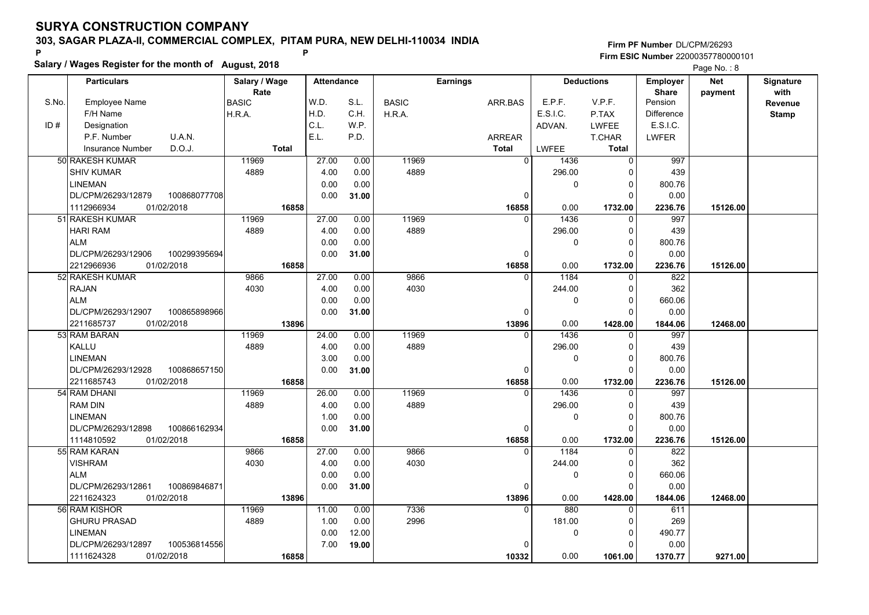**Salary / Wages Register for the month of August, 2018 <sup>P</sup> <sup>P</sup>**

|       | Salary / Wages Register for the month of August, 2018 |               |                   | Page No.: 8 |              |                 |             |                   |                   |          |                  |
|-------|-------------------------------------------------------|---------------|-------------------|-------------|--------------|-----------------|-------------|-------------------|-------------------|----------|------------------|
|       | <b>Particulars</b>                                    | Salary / Wage | <b>Attendance</b> |             |              | <b>Earnings</b> |             | <b>Deductions</b> | Employer          | Net      | <b>Signature</b> |
|       |                                                       | Rate          |                   |             |              |                 |             |                   | <b>Share</b>      | payment  | with             |
| S.No. | <b>Employee Name</b>                                  | <b>BASIC</b>  | W.D.              | S.L.        | <b>BASIC</b> | ARR.BAS         | E.P.F.      | V.P.F.            | Pension           |          | <b>Revenue</b>   |
|       | F/H Name                                              | H.R.A.        | H.D.              | C.H.        | H.R.A.       |                 | E.S.I.C.    | P.TAX             | <b>Difference</b> |          | <b>Stamp</b>     |
| ID#   | Designation                                           |               | C.L.              | W.P.        |              |                 | ADVAN.      | <b>LWFEE</b>      | E.S.I.C.          |          |                  |
|       | P.F. Number<br>U.A.N.                                 |               | E.L.              | P.D.        |              | <b>ARREAR</b>   |             | <b>T.CHAR</b>     | <b>LWFER</b>      |          |                  |
|       | D.O.J.<br><b>Insurance Number</b>                     | <b>Total</b>  |                   |             |              | <b>Total</b>    | LWFEE       | <b>Total</b>      |                   |          |                  |
|       | 50 RAKESH KUMAR                                       | 11969         | 27.00             | 0.00        | 11969        | $\overline{0}$  | 1436        | $\overline{0}$    | 997               |          |                  |
|       | <b>SHIV KUMAR</b>                                     | 4889          | 4.00              | 0.00        | 4889         |                 | 296.00      | $\Omega$          | 439               |          |                  |
|       | <b>LINEMAN</b>                                        |               | 0.00              | 0.00        |              |                 | $\mathbf 0$ | 0                 | 800.76            |          |                  |
|       | 100868077708<br>DL/CPM/26293/12879                    |               | 0.00              | 31.00       |              | 0               |             | $\Omega$          | 0.00              |          |                  |
|       | 1112966934<br>01/02/2018                              | 16858         |                   |             |              | 16858           | 0.00        | 1732.00           | 2236.76           | 15126.00 |                  |
|       | 51 RAKESH KUMAR                                       | 11969         | 27.00             | 0.00        | 11969        | $\Omega$        | 1436        | $\Omega$          | 997               |          |                  |
|       | <b>HARI RAM</b>                                       | 4889          | 4.00              | 0.00        | 4889         |                 | 296.00      | $\Omega$          | 439               |          |                  |
|       | <b>ALM</b>                                            |               | 0.00              | 0.00        |              |                 | $\pmb{0}$   | $\mathbf 0$       | 800.76            |          |                  |
|       | DL/CPM/26293/12906<br>100299395694                    |               | 0.00              | 31.00       |              | $\Omega$        |             | $\Omega$          | 0.00              |          |                  |
|       | 2212966936<br>01/02/2018                              | 16858         |                   |             |              | 16858           | 0.00        | 1732.00           | 2236.76           | 15126.00 |                  |
|       | 52 RAKESH KUMAR                                       | 9866          | 27.00             | 0.00        | 9866         | $\Omega$        | 1184        | 0                 | 822               |          |                  |
|       | <b>RAJAN</b>                                          | 4030          | 4.00              | 0.00        | 4030         |                 | 244.00      | $\Omega$          | 362               |          |                  |
|       | <b>ALM</b>                                            |               | 0.00              | 0.00        |              |                 | $\mathbf 0$ | $\Omega$          | 660.06            |          |                  |
|       | DL/CPM/26293/12907<br>100865898966                    |               | 0.00              | 31.00       |              | $\Omega$        |             | $\Omega$          | 0.00              |          |                  |
|       | 2211685737<br>01/02/2018                              | 13896         |                   |             |              | 13896           | 0.00        | 1428.00           | 1844.06           | 12468.00 |                  |
|       | 53 RAM BARAN                                          | 11969         | 24.00             | 0.00        | 11969        | $\Omega$        | 1436        | $\Omega$          | 997               |          |                  |
|       | KALLU                                                 | 4889          | 4.00              | 0.00        | 4889         |                 | 296.00      | $\Omega$          | 439               |          |                  |
|       | <b>LINEMAN</b>                                        |               | 3.00              | 0.00        |              |                 | $\pmb{0}$   | 0                 | 800.76            |          |                  |
|       | DL/CPM/26293/12928<br>100868657150                    |               | 0.00              | 31.00       |              | $\Omega$        |             | $\Omega$          | 0.00              |          |                  |
|       | 01/02/2018<br>2211685743                              | 16858         |                   |             |              | 16858           | 0.00        | 1732.00           | 2236.76           | 15126.00 |                  |
|       | 54 RAM DHANI                                          | 11969         | 26.00             | 0.00        | 11969        | $\Omega$        | 1436        | $\Omega$          | 997               |          |                  |
|       | <b>RAM DIN</b>                                        | 4889          | 4.00              | 0.00        | 4889         |                 | 296.00      | 0                 | 439               |          |                  |
|       | <b>LINEMAN</b>                                        |               | 1.00              | 0.00        |              |                 | $\mathbf 0$ | $\Omega$          | 800.76            |          |                  |
|       | 100866162934<br>DL/CPM/26293/12898                    |               | 0.00              | 31.00       |              | $\Omega$        |             | $\Omega$          | 0.00              |          |                  |
|       | 1114810592<br>01/02/2018                              | 16858         |                   |             |              | 16858           | 0.00        | 1732.00           | 2236.76           | 15126.00 |                  |
|       | 55 RAM KARAN                                          | 9866          | 27.00             | 0.00        | 9866         | $\mathbf{0}$    | 1184        | 0                 | 822               |          |                  |
|       | <b>VISHRAM</b>                                        | 4030          | 4.00              | 0.00        | 4030         |                 | 244.00      | $\Omega$          | 362               |          |                  |
|       | <b>ALM</b>                                            |               | 0.00              | 0.00        |              |                 | $\mathbf 0$ | $\Omega$          | 660.06            |          |                  |
|       | DL/CPM/26293/12861<br>100869846871                    |               | 0.00              | 31.00       |              | 0               |             | $\Omega$          | 0.00              |          |                  |
|       | 2211624323<br>01/02/2018                              | 13896         |                   |             |              | 13896           | 0.00        | 1428.00           | 1844.06           | 12468.00 |                  |
|       | 56 RAM KISHOR                                         | 11969         | 11.00             | 0.00        | 7336         | $\Omega$        | 880         | $\Omega$          | 611               |          |                  |
|       | <b>GHURU PRASAD</b>                                   | 4889          | 1.00              | 0.00        | 2996         |                 | 181.00      | $\Omega$          | 269               |          |                  |
|       | LINEMAN                                               |               | 0.00              | 12.00       |              |                 | 0           | 0                 | 490.77            |          |                  |
|       | DL/CPM/26293/12897<br>100536814556                    |               | 7.00              | 19.00       |              |                 |             | 0                 | 0.00              |          |                  |
|       | 1111624328<br>01/02/2018                              | 16858         |                   |             |              | 10332           | 0.00        | 1061.00           | 1370.77           | 9271.00  |                  |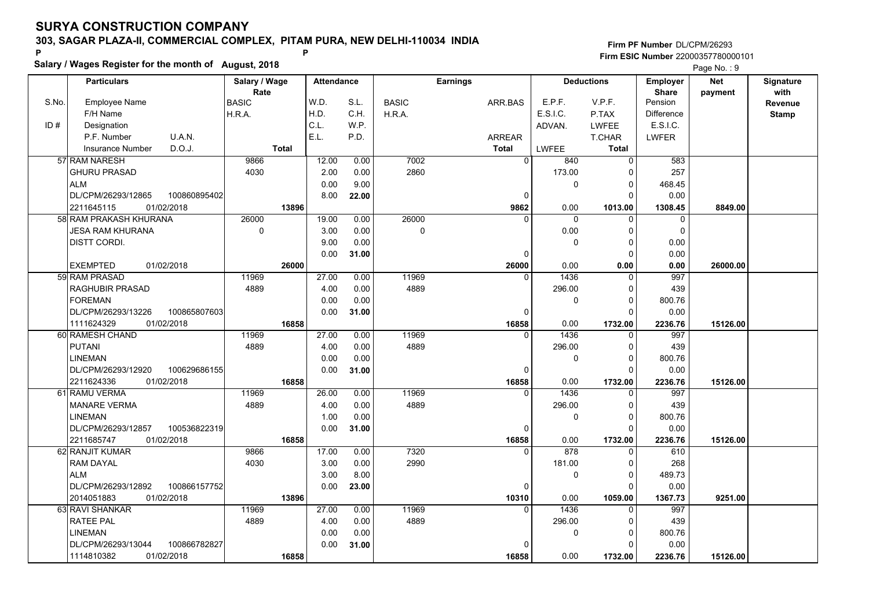**Salary / Wages Register for the month of August, 2018 <sup>P</sup> <sup>P</sup>**

#### **Firm PF Number**DL/CPM/26293**Firm ESIC Number** 22000357780000101

Page No.: 9

|       | <b>Particulars</b>                 | Salary / Wage<br>Rate | <b>Attendance</b> |       |              | <b>Earnings</b> |                       | <b>Deductions</b> | <b>Employer</b>         | <b>Net</b> | Signature<br>with |
|-------|------------------------------------|-----------------------|-------------------|-------|--------------|-----------------|-----------------------|-------------------|-------------------------|------------|-------------------|
| S.No. | <b>Employee Name</b>               | BASIC                 | W.D.              | S.L.  | <b>BASIC</b> | ARR.BAS         | E.P.F.                | V.P.F.            | <b>Share</b><br>Pension | payment    | Revenue           |
|       | F/H Name                           | H.R.A.                | H.D.              | C.H.  | H.R.A.       |                 | E.S.I.C.              | P.TAX             | <b>Difference</b>       |            | <b>Stamp</b>      |
| ID#   | Designation                        |                       | C.L.              | W.P.  |              |                 | ADVAN.                | LWFEE             | E.S.I.C.                |            |                   |
|       | U.A.N.<br>P.F. Number              |                       | E.L.              | P.D.  |              | <b>ARREAR</b>   |                       | <b>T.CHAR</b>     | LWFER                   |            |                   |
|       | D.O.J.<br><b>Insurance Number</b>  | <b>Total</b>          |                   |       |              | <b>Total</b>    | LWFEE                 | <b>Total</b>      |                         |            |                   |
|       | 57 RAM NARESH                      | 9866                  | 12.00             | 0.00  | 7002         |                 | $\overline{0}$<br>840 | $\mathbf 0$       | 583                     |            |                   |
|       | <b>GHURU PRASAD</b>                | 4030                  | 2.00              | 0.00  | 2860         |                 | 173.00                | $\Omega$          | 257                     |            |                   |
|       | <b>ALM</b>                         |                       | 0.00              | 9.00  |              |                 | $\Omega$              | $\Omega$          | 468.45                  |            |                   |
|       | DL/CPM/26293/12865<br>100860895402 |                       | 8.00              | 22.00 |              |                 | $\Omega$              | $\Omega$          | 0.00                    |            |                   |
|       | 01/02/2018<br>2211645115           | 13896                 |                   |       |              | 9862            | 0.00                  | 1013.00           | 1308.45                 | 8849.00    |                   |
|       | 58 RAM PRAKASH KHURANA             | 26000                 | 19.00             | 0.00  | 26000        |                 | 0<br><sup>n</sup>     | $\mathbf 0$       | $\mathbf 0$             |            |                   |
|       | <b>JESA RAM KHURANA</b>            | $\mathbf 0$           | 3.00              | 0.00  | 0            |                 | 0.00                  | $\Omega$          | $\Omega$                |            |                   |
|       | DISTT CORDI.                       |                       | 9.00              | 0.00  |              |                 | 0                     | $\Omega$          | 0.00                    |            |                   |
|       |                                    |                       | 0.00              | 31.00 |              |                 | $\Omega$              | $\Omega$          | 0.00                    |            |                   |
|       | 01/02/2018<br><b>EXEMPTED</b>      | 26000                 |                   |       |              | 26000           | 0.00                  | 0.00              | 0.00                    | 26000.00   |                   |
|       | 59 RAM PRASAD                      | 11969                 | 27.00             | 0.00  | 11969        |                 | 1436<br>$\Omega$      | $\mathbf 0$       | 997                     |            |                   |
|       | <b>RAGHUBIR PRASAD</b>             | 4889                  | 4.00              | 0.00  | 4889         |                 | 296.00                | $\Omega$          | 439                     |            |                   |
|       | <b>FOREMAN</b>                     |                       | 0.00              | 0.00  |              |                 | 0                     | $\Omega$          | 800.76                  |            |                   |
|       | DL/CPM/26293/13226<br>100865807603 |                       | 0.00              | 31.00 |              |                 | 0                     | $\Omega$          | 0.00                    |            |                   |
|       | 1111624329<br>01/02/2018           | 16858                 |                   |       |              | 16858           | 0.00                  | 1732.00           | 2236.76                 | 15126.00   |                   |
|       | 60 RAMESH CHAND                    | 11969                 | 27.00             | 0.00  | 11969        |                 | 1436<br>$\Omega$      | $\Omega$          | 997                     |            |                   |
|       | <b>PUTANI</b>                      | 4889                  | 4.00              | 0.00  | 4889         |                 | 296.00                | $\mathbf 0$       | 439                     |            |                   |
|       | <b>LINEMAN</b>                     |                       | 0.00              | 0.00  |              |                 | 0                     | $\Omega$          | 800.76                  |            |                   |
|       | DL/CPM/26293/12920<br>100629686155 |                       | 0.00              | 31.00 |              |                 | $\Omega$              | $\Omega$          | 0.00                    |            |                   |
|       | 2211624336<br>01/02/2018           | 16858                 |                   |       |              | 16858           | 0.00                  | 1732.00           | 2236.76                 | 15126.00   |                   |
|       | 61 RAMU VERMA                      | 11969                 | 26.00             | 0.00  | 11969        |                 | 1436<br>$\Omega$      | $\Omega$          | 997                     |            |                   |
|       | <b>MANARE VERMA</b>                | 4889                  | 4.00              | 0.00  | 4889         |                 | 296.00                | $\Omega$          | 439                     |            |                   |
|       | <b>LINEMAN</b>                     |                       | 1.00              | 0.00  |              |                 | 0                     | $\Omega$          | 800.76                  |            |                   |
|       | DL/CPM/26293/12857<br>100536822319 |                       | 0.00              | 31.00 |              |                 | 0                     | $\Omega$          | 0.00                    |            |                   |
|       | 2211685747<br>01/02/2018           | 16858                 |                   |       |              | 16858           | 0.00                  | 1732.00           | 2236.76                 | 15126.00   |                   |
|       | 62 RANJIT KUMAR                    | 9866                  | 17.00             | 0.00  | 7320         |                 | 878<br>$\Omega$       | $\Omega$          | 610                     |            |                   |
|       | <b>RAM DAYAL</b>                   | 4030                  | 3.00              | 0.00  | 2990         |                 | 181.00                | $\Omega$          | 268                     |            |                   |
|       | <b>ALM</b>                         |                       | 3.00              | 8.00  |              |                 | 0                     | $\Omega$          | 489.73                  |            |                   |
|       | DL/CPM/26293/12892<br>100866157752 |                       | 0.00              | 23.00 |              |                 | $\Omega$              | $\Omega$          | 0.00                    |            |                   |
|       | 01/02/2018<br>2014051883           | 13896                 |                   |       |              | 10310           | 0.00                  | 1059.00           | 1367.73                 | 9251.00    |                   |
|       | 63 RAVI SHANKAR                    | 11969                 | 27.00             | 0.00  | 11969        |                 | 1436                  | $\Omega$          | 997                     |            |                   |
|       | <b>RATEE PAL</b>                   | 4889                  | 4.00              | 0.00  | 4889         |                 | 296.00                | $\Omega$          | 439                     |            |                   |
|       | <b>LINEMAN</b>                     |                       | 0.00              | 0.00  |              |                 | 0                     | $\Omega$          | 800.76                  |            |                   |
|       | DL/CPM/26293/13044<br>100866782827 |                       | 0.00              | 31.00 |              |                 |                       | $\Omega$          | 0.00                    |            |                   |
|       | 1114810382<br>01/02/2018           | 16858                 |                   |       |              | 16858           | 0.00                  | 1732.00           | 2236.76                 | 15126.00   |                   |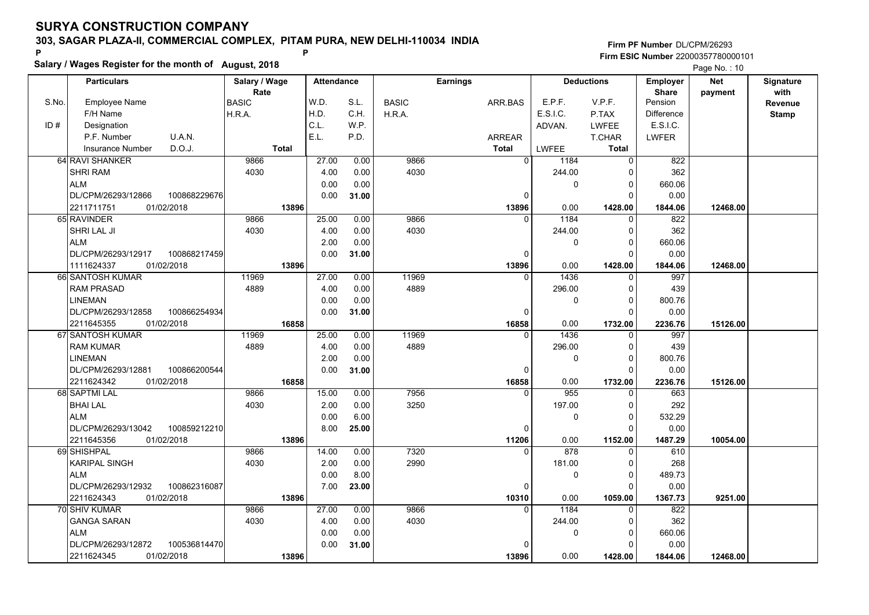**Salary / Wages Register for the month of August, 2018 <sup>P</sup> <sup>P</sup>**

| Salary / Wages Register for the month of August, 2018 |                                    |               |                   |       |              |                 | Page No.: 10 |                   |                   |            |              |
|-------------------------------------------------------|------------------------------------|---------------|-------------------|-------|--------------|-----------------|--------------|-------------------|-------------------|------------|--------------|
|                                                       | <b>Particulars</b>                 | Salary / Wage | <b>Attendance</b> |       |              | <b>Earnings</b> |              | <b>Deductions</b> | <b>Employer</b>   | <b>Net</b> | Signature    |
|                                                       |                                    | Rate          |                   |       |              |                 |              |                   | <b>Share</b>      | payment    | with         |
| S.No.                                                 | <b>Employee Name</b>               | <b>BASIC</b>  | W.D.              | S.L.  | <b>BASIC</b> | ARR.BAS         | E.P.F.       | V.P.F.            | Pension           |            | Revenue      |
|                                                       | F/H Name                           | H.R.A.        | H.D.              | C.H.  | H.R.A.       |                 | E.S.I.C.     | P.TAX             | <b>Difference</b> |            | <b>Stamp</b> |
| ID#                                                   | Designation                        |               | C.L.              | W.P.  |              |                 | ADVAN.       | <b>LWFEE</b>      | E.S.I.C.          |            |              |
|                                                       | P.F. Number<br>U.A.N.              |               | E.L.              | P.D.  |              | <b>ARREAR</b>   |              | T.CHAR            | <b>LWFER</b>      |            |              |
|                                                       | D.O.J.<br><b>Insurance Number</b>  | <b>Total</b>  |                   |       |              | <b>Total</b>    | <b>LWFEE</b> | <b>Total</b>      |                   |            |              |
|                                                       | 64 RAVI SHANKER                    | 9866          | 27.00             | 0.00  | 9866         | $\overline{0}$  | 1184         | 0                 | 822               |            |              |
|                                                       | <b>SHRI RAM</b>                    | 4030          | 4.00              | 0.00  | 4030         |                 | 244.00       | $\Omega$          | 362               |            |              |
|                                                       | <b>ALM</b>                         |               | 0.00              | 0.00  |              |                 | 0            | $\Omega$          | 660.06            |            |              |
|                                                       | DL/CPM/26293/12866<br>100868229676 |               | 0.00              | 31.00 |              | $\Omega$        |              | $\Omega$          | 0.00              |            |              |
|                                                       | 01/02/2018<br>2211711751           | 13896         |                   |       |              | 13896           | 0.00         | 1428.00           | 1844.06           | 12468.00   |              |
|                                                       | 65 RAVINDER                        | 9866          | 25.00             | 0.00  | 9866         |                 | 1184         | $\Omega$          | 822               |            |              |
|                                                       | SHRI LAL JI                        | 4030          | 4.00              | 0.00  | 4030         |                 | 244.00       | $\Omega$          | 362               |            |              |
|                                                       | <b>ALM</b>                         |               | 2.00              | 0.00  |              |                 | 0            | $\Omega$          | 660.06            |            |              |
|                                                       | DL/CPM/26293/12917<br>100868217459 |               | 0.00              | 31.00 |              | 0               |              | $\Omega$          | 0.00              |            |              |
|                                                       | 1111624337<br>01/02/2018           | 13896         |                   |       |              | 13896           | 0.00         | 1428.00           | 1844.06           | 12468.00   |              |
|                                                       | 66 SANTOSH KUMAR                   | 11969         | 27.00             | 0.00  | 11969        | $\Omega$        | 1436         | $\Omega$          | 997               |            |              |
|                                                       | <b>RAM PRASAD</b>                  | 4889          | 4.00              | 0.00  | 4889         |                 | 296.00       | $\Omega$          | 439               |            |              |
|                                                       | LINEMAN                            |               | 0.00              | 0.00  |              |                 | 0            | $\Omega$          | 800.76            |            |              |
|                                                       | DL/CPM/26293/12858<br>100866254934 |               | 0.00              | 31.00 |              | $\Omega$        |              | $\Omega$          | 0.00              |            |              |
|                                                       | 2211645355<br>01/02/2018           | 16858         |                   |       |              | 16858           | 0.00         | 1732.00           | 2236.76           | 15126.00   |              |
|                                                       | 67 SANTOSH KUMAR                   | 11969         | 25.00             | 0.00  | 11969        | $\Omega$        | 1436         | O                 | 997               |            |              |
|                                                       | <b>RAM KUMAR</b>                   | 4889          | 4.00              | 0.00  | 4889         |                 | 296.00       | $\Omega$          | 439               |            |              |
|                                                       | LINEMAN                            |               | 2.00              | 0.00  |              |                 | 0            | $\Omega$          | 800.76            |            |              |
|                                                       | DL/CPM/26293/12881<br>100866200544 |               | 0.00              | 31.00 |              | 0               |              | $\Omega$          | 0.00              |            |              |
|                                                       | 01/02/2018<br>2211624342           | 16858         |                   |       |              | 16858           | 0.00         | 1732.00           | 2236.76           | 15126.00   |              |
|                                                       | 68 SAPTMI LAL                      | 9866          | 15.00             | 0.00  | 7956         |                 | 955          | $\Omega$          | 663               |            |              |
|                                                       | <b>BHAI LAL</b>                    | 4030          | 2.00              | 0.00  | 3250         |                 | 197.00       | 0                 | 292               |            |              |
|                                                       | <b>ALM</b>                         |               | 0.00              | 6.00  |              |                 | 0            | $\Omega$          | 532.29            |            |              |
|                                                       | DL/CPM/26293/13042<br>100859212210 |               | 8.00              | 25.00 |              | $\Omega$        |              | $\Omega$          | 0.00              |            |              |
|                                                       | 2211645356<br>01/02/2018           | 13896         |                   |       |              | 11206           | 0.00         | 1152.00           | 1487.29           | 10054.00   |              |
|                                                       | 69 SHISHPAL                        | 9866          | 14.00             | 0.00  | 7320         | 0               | 878          | 0                 | 610               |            |              |
|                                                       | <b>KARIPAL SINGH</b>               | 4030          | 2.00              | 0.00  | 2990         |                 | 181.00       | $\Omega$          | 268               |            |              |
|                                                       | <b>ALM</b>                         |               | 0.00              | 8.00  |              |                 | 0            | $\Omega$          | 489.73            |            |              |
|                                                       | DL/CPM/26293/12932<br>100862316087 |               | 7.00              | 23.00 |              | $\Omega$        |              | $\Omega$          | 0.00              |            |              |
|                                                       | 2211624343<br>01/02/2018           | 13896         |                   |       |              | 10310           | 0.00         | 1059.00           | 1367.73           | 9251.00    |              |
|                                                       | 70 SHIV KUMAR                      | 9866          | 27.00             | 0.00  | 9866         | $\Omega$        | 1184         | U                 | 822               |            |              |
|                                                       | <b>GANGA SARAN</b>                 | 4030          | 4.00              | 0.00  | 4030         |                 | 244.00       | $\Omega$          | 362               |            |              |
|                                                       | <b>ALM</b>                         |               | 0.00              | 0.00  |              |                 | 0            | 0                 | 660.06            |            |              |
|                                                       | DL/CPM/26293/12872<br>100536814470 |               | 0.00              | 31.00 |              |                 |              |                   | 0.00              |            |              |
|                                                       | 01/02/2018<br>2211624345           | 13896         |                   |       |              | 13896           | 0.00         | 1428.00           | 1844.06           | 12468.00   |              |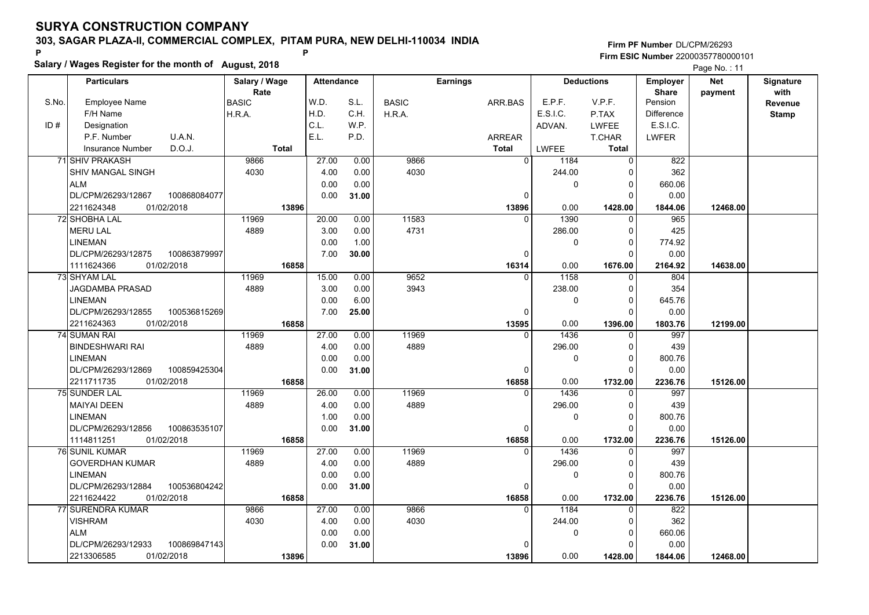**Salary / Wages Register for the month of August, 2018 <sup>P</sup> <sup>P</sup>**

|       | Salary / Wages Register for the month of August, 2018 |               |                   |       |              |                 |              |                   |              |            |                  |
|-------|-------------------------------------------------------|---------------|-------------------|-------|--------------|-----------------|--------------|-------------------|--------------|------------|------------------|
|       | <b>Particulars</b>                                    | Salary / Wage | <b>Attendance</b> |       |              | <b>Earnings</b> |              | <b>Deductions</b> | Employer     | <b>Net</b> | <b>Signature</b> |
|       |                                                       | Rate          |                   |       |              |                 |              |                   | <b>Share</b> | payment    | with             |
| S.No. | <b>Employee Name</b>                                  | <b>BASIC</b>  | W.D.              | S.L.  | <b>BASIC</b> | ARR.BAS         | E.P.F.       | V.P.F.            | Pension      |            | Revenue          |
|       | F/H Name                                              | H.R.A.        | H.D.              | C.H.  | H.R.A.       |                 | E.S.I.C.     | P.TAX             | Difference   |            | <b>Stamp</b>     |
| ID#   | Designation                                           |               | C.L.              | W.P.  |              |                 | ADVAN.       | <b>LWFEE</b>      | E.S.I.C.     |            |                  |
|       | P.F. Number<br>U.A.N.                                 |               | E.L.              | P.D.  |              | ARREAR          |              | T.CHAR            | <b>LWFER</b> |            |                  |
|       | D.O.J.<br><b>Insurance Number</b>                     | <b>Total</b>  |                   |       |              | <b>Total</b>    | <b>LWFEE</b> | <b>Total</b>      |              |            |                  |
|       | 71 SHIV PRAKASH                                       | 9866          | 27.00             | 0.00  | 9866         | $\overline{0}$  | 1184         | $\overline{0}$    | 822          |            |                  |
|       | <b>SHIV MANGAL SINGH</b>                              | 4030          | 4.00              | 0.00  | 4030         |                 | 244.00       | $\Omega$          | 362          |            |                  |
|       | <b>ALM</b>                                            |               | 0.00              | 0.00  |              |                 | 0            | 0                 | 660.06       |            |                  |
|       | DL/CPM/26293/12867<br>100868084077                    |               | 0.00              | 31.00 |              | $\Omega$        |              | $\Omega$          | 0.00         |            |                  |
|       | 2211624348<br>01/02/2018                              | 13896         |                   |       |              | 13896           | 0.00         | 1428.00           | 1844.06      | 12468.00   |                  |
|       | 72 SHOBHA LAL                                         | 11969         | 20.00             | 0.00  | 11583        | $\Omega$        | 1390         | $\Omega$          | 965          |            |                  |
|       | <b>MERU LAL</b>                                       | 4889          | 3.00              | 0.00  | 4731         |                 | 286.00       | $\Omega$          | 425          |            |                  |
|       | <b>LINEMAN</b>                                        |               | 0.00              | 1.00  |              |                 | $\pmb{0}$    | $\Omega$          | 774.92       |            |                  |
|       | DL/CPM/26293/12875<br>100863879997                    |               | 7.00              | 30.00 |              | $\mathbf{0}$    |              | $\Omega$          | 0.00         |            |                  |
|       | 1111624366<br>01/02/2018                              | 16858         |                   |       |              | 16314           | 0.00         | 1676.00           | 2164.92      | 14638.00   |                  |
|       | 73 SHYAM LAL                                          | 11969         | 15.00             | 0.00  | 9652         | $\Omega$        | 1158         | $\Omega$          | 804          |            |                  |
|       | <b>JAGDAMBA PRASAD</b>                                | 4889          | 3.00              | 0.00  | 3943         |                 | 238.00       | 0                 | 354          |            |                  |
|       | <b>LINEMAN</b>                                        |               | 0.00              | 6.00  |              |                 | $\mathbf{0}$ | $\Omega$          | 645.76       |            |                  |
|       | DL/CPM/26293/12855<br>100536815269                    |               | 7.00              | 25.00 |              | $\Omega$        |              | $\Omega$          | 0.00         |            |                  |
|       | 2211624363<br>01/02/2018                              | 16858         |                   |       |              | 13595           | 0.00         | 1396.00           | 1803.76      | 12199.00   |                  |
|       | <b>74 SUMAN RAI</b>                                   | 11969         | 27.00             | 0.00  | 11969        | $\Omega$        | 1436         | $\Omega$          | 997          |            |                  |
|       | <b>BINDESHWARI RAI</b>                                | 4889          | 4.00              | 0.00  | 4889         |                 | 296.00       | $\Omega$          | 439          |            |                  |
|       | <b>LINEMAN</b>                                        |               | 0.00              | 0.00  |              |                 | 0            | 0                 | 800.76       |            |                  |
|       | DL/CPM/26293/12869<br>100859425304                    |               | 0.00              | 31.00 |              | $\mathbf 0$     |              | $\Omega$          | 0.00         |            |                  |
|       | 01/02/2018<br>2211711735                              | 16858         |                   |       |              | 16858           | 0.00         | 1732.00           | 2236.76      | 15126.00   |                  |
|       | <b>75 SUNDER LAL</b>                                  | 11969         | 26.00             | 0.00  | 11969        |                 | 1436         | $\Omega$          | 997          |            |                  |
|       | <b>MAIYAI DEEN</b>                                    | 4889          | 4.00              | 0.00  | 4889         |                 | 296.00       | 0                 | 439          |            |                  |
|       | <b>LINEMAN</b>                                        |               | 1.00              | 0.00  |              |                 | $\mathbf 0$  | $\Omega$          | 800.76       |            |                  |
|       | DL/CPM/26293/12856<br>100863535107                    |               | 0.00              | 31.00 |              | 0               |              | $\Omega$          | 0.00         |            |                  |
|       | 01/02/2018<br>1114811251                              | 16858         |                   |       |              | 16858           | 0.00         | 1732.00           | 2236.76      | 15126.00   |                  |
|       | 76 SUNIL KUMAR                                        | 11969         | 27.00             | 0.00  | 11969        | $\Omega$        | 1436         | 0                 | 997          |            |                  |
|       | <b>GOVERDHAN KUMAR</b>                                | 4889          | 4.00              | 0.00  | 4889         |                 | 296.00       | $\Omega$          | 439          |            |                  |
|       | <b>LINEMAN</b>                                        |               | 0.00              | 0.00  |              |                 | $\mathbf{0}$ | $\Omega$          | 800.76       |            |                  |
|       | DL/CPM/26293/12884<br>100536804242                    |               | 0.00              | 31.00 |              | $\mathbf{0}$    |              | $\Omega$          | 0.00         |            |                  |
|       | 2211624422<br>01/02/2018                              | 16858         |                   |       |              | 16858           | 0.00         | 1732.00           | 2236.76      | 15126.00   |                  |
|       | 77 SURENDRA KUMAR                                     | 9866          | 27.00             | 0.00  | 9866         | $\Omega$        | 1184         | $\Omega$          | 822          |            |                  |
|       | <b>VISHRAM</b>                                        | 4030          | 4.00              | 0.00  | 4030         |                 | 244.00       | $\Omega$          | 362          |            |                  |
|       | <b>ALM</b>                                            |               | 0.00              | 0.00  |              |                 | 0            | 0                 | 660.06       |            |                  |
|       | DL/CPM/26293/12933<br>100869847143                    |               | 0.00              | 31.00 |              | $\Omega$        |              | 0                 | 0.00         |            |                  |
|       | 2213306585<br>01/02/2018                              | 13896         |                   |       |              | 13896           | 0.00         | 1428.00           | 1844.06      | 12468.00   |                  |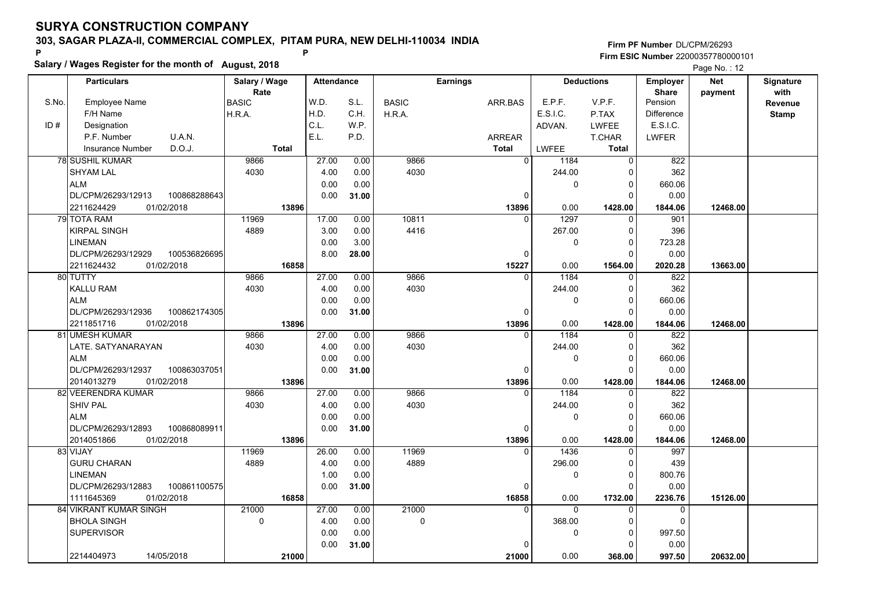**Salary / Wages Register for the month of August, 2018 <sup>P</sup> <sup>P</sup>**

|       | Salary / Wages Register for the month of August, 2018 |               |                   |       |              |                 |              |                   |                   |            |                  |
|-------|-------------------------------------------------------|---------------|-------------------|-------|--------------|-----------------|--------------|-------------------|-------------------|------------|------------------|
|       | <b>Particulars</b>                                    | Salary / Wage | <b>Attendance</b> |       |              | <b>Earnings</b> |              | <b>Deductions</b> | Employer          | <b>Net</b> | <b>Signature</b> |
|       |                                                       | Rate          |                   |       |              |                 |              |                   | <b>Share</b>      | payment    | with             |
| S.No. | <b>Employee Name</b>                                  | <b>BASIC</b>  | W.D.              | S.L.  | <b>BASIC</b> | ARR.BAS         | E.P.F.       | V.P.F.            | Pension           |            | Revenue          |
|       | F/H Name                                              | H.R.A.        | H.D.              | C.H.  | H.R.A.       |                 | E.S.I.C.     | P.TAX             | <b>Difference</b> |            | <b>Stamp</b>     |
| ID#   | Designation                                           |               | C.L.              | W.P.  |              |                 | ADVAN.       | <b>LWFEE</b>      | E.S.I.C.          |            |                  |
|       | P.F. Number<br>U.A.N.                                 |               | E.L.              | P.D.  |              | <b>ARREAR</b>   |              | T.CHAR            | <b>LWFER</b>      |            |                  |
|       | D.O.J.<br><b>Insurance Number</b>                     | <b>Total</b>  |                   |       |              | <b>Total</b>    | <b>LWFEE</b> | <b>Total</b>      |                   |            |                  |
|       | <b>78 SUSHIL KUMAR</b>                                | 9866          | 27.00             | 0.00  | 9866         | $\overline{0}$  | 1184         | $\overline{0}$    | 822               |            |                  |
|       | <b>SHYAM LAL</b>                                      | 4030          | 4.00              | 0.00  | 4030         |                 | 244.00       | $\Omega$          | 362               |            |                  |
|       | <b>ALM</b>                                            |               | 0.00              | 0.00  |              |                 | $\mathbf 0$  | 0                 | 660.06            |            |                  |
|       | DL/CPM/26293/12913<br>100868288643                    |               | 0.00              | 31.00 |              | $\Omega$        |              | $\Omega$          | 0.00              |            |                  |
|       | 01/02/2018<br>2211624429                              | 13896         |                   |       |              | 13896           | 0.00         | 1428.00           | 1844.06           | 12468.00   |                  |
|       | 79 TOTA RAM                                           | 11969         | 17.00             | 0.00  | 10811        | $\Omega$        | 1297         | $\Omega$          | 901               |            |                  |
|       | <b>KIRPAL SINGH</b>                                   | 4889          | 3.00              | 0.00  | 4416         |                 | 267.00       | 0                 | 396               |            |                  |
|       | <b>LINEMAN</b>                                        |               | 0.00              | 3.00  |              |                 | 0            | $\Omega$          | 723.28            |            |                  |
|       | DL/CPM/26293/12929<br>100536826695                    |               | 8.00              | 28.00 |              | 0               |              | $\Omega$          | 0.00              |            |                  |
|       | 2211624432<br>01/02/2018                              | 16858         |                   |       |              | 15227           | 0.00         | 1564.00           | 2020.28           | 13663.00   |                  |
|       | 80 TUTTY                                              | 9866          | 27.00             | 0.00  | 9866         | $\Omega$        | 1184         | $\Omega$          | 822               |            |                  |
|       | <b>KALLU RAM</b>                                      | 4030          | 4.00              | 0.00  | 4030         |                 | 244.00       | $\Omega$          | 362               |            |                  |
|       | <b>ALM</b>                                            |               | 0.00              | 0.00  |              |                 | $\mathbf 0$  | $\Omega$          | 660.06            |            |                  |
|       | DL/CPM/26293/12936<br>100862174305                    |               | 0.00              | 31.00 |              | 0               |              | $\Omega$          | 0.00              |            |                  |
|       | 2211851716<br>01/02/2018                              | 13896         |                   |       |              | 13896           | 0.00         | 1428.00           | 1844.06           | 12468.00   |                  |
|       | 81 UMESH KUMAR                                        | 9866          | 27.00             | 0.00  | 9866         | $\Omega$        | 1184         | $\Omega$          | 822               |            |                  |
|       | LATE. SATYANARAYAN                                    | 4030          | 4.00              | 0.00  | 4030         |                 | 244.00       | $\Omega$          | 362               |            |                  |
|       | <b>ALM</b>                                            |               | 0.00              | 0.00  |              |                 | 0            | $\Omega$          | 660.06            |            |                  |
|       | DL/CPM/26293/12937<br>100863037051                    |               | 0.00              | 31.00 |              | 0               |              | $\Omega$          | 0.00              |            |                  |
|       | 01/02/2018<br>2014013279                              | 13896         |                   |       |              | 13896           | 0.00         | 1428.00           | 1844.06           | 12468.00   |                  |
|       | 82 VEERENDRA KUMAR                                    | 9866          | 27.00             | 0.00  | 9866         | $\Omega$        | 1184         | $\Omega$          | 822               |            |                  |
|       | <b>SHIV PAL</b>                                       | 4030          | 4.00              | 0.00  | 4030         |                 | 244.00       | 0                 | 362               |            |                  |
|       | <b>ALM</b>                                            |               | 0.00              | 0.00  |              |                 | $\mathbf 0$  | $\Omega$          | 660.06            |            |                  |
|       | 100868089911<br>DL/CPM/26293/12893                    |               | 0.00              | 31.00 |              | 0               |              | O                 | 0.00              |            |                  |
|       | 2014051866<br>01/02/2018                              | 13896         |                   |       |              | 13896           | 0.00         | 1428.00           | 1844.06           | 12468.00   |                  |
|       | 83 VIJAY                                              | 11969         | 26.00             | 0.00  | 11969        | 0               | 1436         | 0                 | 997               |            |                  |
|       | <b>GURU CHARAN</b>                                    | 4889          | 4.00              | 0.00  | 4889         |                 | 296.00       | $\Omega$          | 439               |            |                  |
|       | <b>LINEMAN</b>                                        |               | 1.00              | 0.00  |              |                 | $\mathbf 0$  | $\Omega$          | 800.76            |            |                  |
|       | DL/CPM/26293/12883<br>100861100575                    |               | 0.00              | 31.00 |              | $\Omega$        |              | $\Omega$          | 0.00              |            |                  |
|       | 1111645369<br>01/02/2018                              | 16858         |                   |       |              | 16858           | 0.00         | 1732.00           | 2236.76           | 15126.00   |                  |
|       | <b>84 VIKRANT KUMAR SINGH</b>                         | 21000         | 27.00             | 0.00  | 21000        | $\Omega$        | $\Omega$     | $\Omega$          | $\mathbf{0}$      |            |                  |
|       | <b>BHOLA SINGH</b>                                    | $\Omega$      | 4.00              | 0.00  | $\Omega$     |                 | 368.00       | $\Omega$          | $\Omega$          |            |                  |
|       | <b>SUPERVISOR</b>                                     |               | 0.00              | 0.00  |              |                 | 0            | $\Omega$          | 997.50            |            |                  |
|       |                                                       |               | 0.00              | 31.00 |              |                 |              | O                 | 0.00              |            |                  |
|       | 2214404973<br>14/05/2018                              | 21000         |                   |       |              | 21000           | 0.00         | 368.00            | 997.50            | 20632.00   |                  |